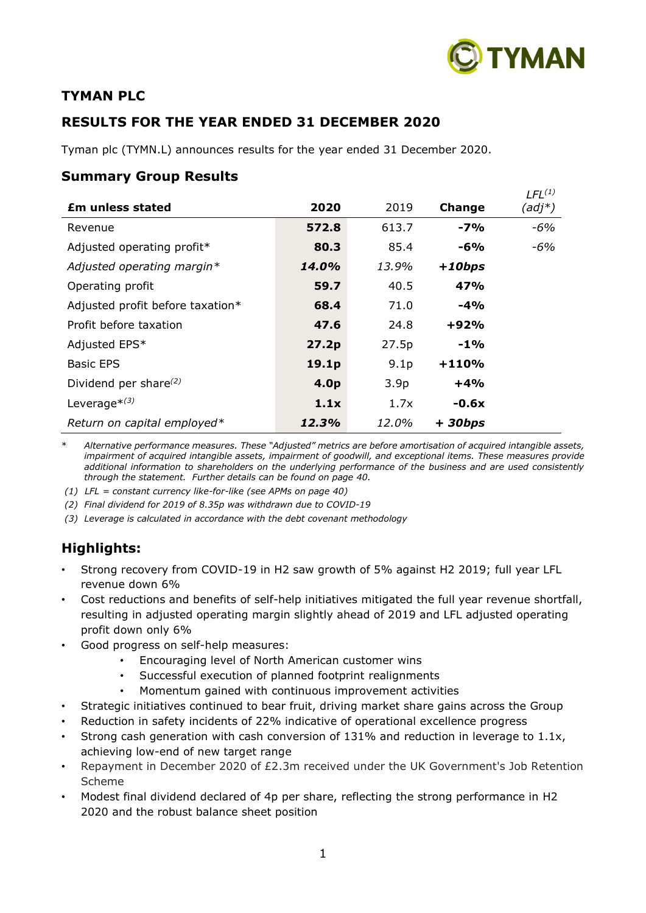

*LFL(1)*

## **TYMAN PLC**

## **RESULTS FOR THE YEAR ENDED 31 DECEMBER 2020**

Tyman plc (TYMN.L) announces results for the year ended 31 December 2020.

## **Summary Group Results**

| <b>£m unless stated</b>          | 2020             | 2019             | Change   | LFL <sup>(1)</sup><br>(adj*) |
|----------------------------------|------------------|------------------|----------|------------------------------|
| Revenue                          | 572.8            | 613.7            | $-7%$    | $-6%$                        |
| Adjusted operating profit*       | 80.3             | 85.4             | -6%      | -6%                          |
| Adjusted operating margin*       | 14.0%            | 13.9%            | $+10bps$ |                              |
| Operating profit                 | 59.7             | 40.5             | 47%      |                              |
| Adjusted profit before taxation* | 68.4             | 71.0             | $-4%$    |                              |
| Profit before taxation           | 47.6             | 24.8             | $+92%$   |                              |
| Adjusted EPS*                    | 27.2p            | 27.5p            | $-1\%$   |                              |
| <b>Basic EPS</b>                 | 19.1p            | 9.1 <sub>p</sub> | $+110%$  |                              |
| Dividend per share $^{(2)}$      | 4.0 <sub>p</sub> | 3.9 <sub>p</sub> | $+4%$    |                              |
| Leverage $*(3)$                  | 1.1x             | 1.7x             | $-0.6x$  |                              |
| Return on capital employed*      | 12.3%            | 12.0%            | $+30bps$ |                              |

\* *Alternative performance measures. These "Adjusted" metrics are before amortisation of acquired intangible assets, impairment of acquired intangible assets, impairment of goodwill, and exceptional items. These measures provide additional information to shareholders on the underlying performance of the business and are used consistently through the statement. Further details can be found on page 40.*

*(1) LFL = constant currency like-for-like (see APMs on page 40)*

*(2) Final dividend for 2019 of 8.35p was withdrawn due to COVID-19*

*(3) Leverage is calculated in accordance with the debt covenant methodology*

## **Highlights:**

- Strong recovery from COVID-19 in H2 saw growth of 5% against H2 2019; full year LFL revenue down 6%
- Cost reductions and benefits of self-help initiatives mitigated the full year revenue shortfall, resulting in adjusted operating margin slightly ahead of 2019 and LFL adjusted operating profit down only 6%
- Good progress on self-help measures:
	- Encouraging level of North American customer wins
	- Successful execution of planned footprint realignments
	- Momentum gained with continuous improvement activities
- Strategic initiatives continued to bear fruit, driving market share gains across the Group
- Reduction in safety incidents of 22% indicative of operational excellence progress
- Strong cash generation with cash conversion of 131% and reduction in leverage to 1.1x, achieving low-end of new target range
- Repayment in December 2020 of £2.3m received under the UK Government's Job Retention Scheme
- Modest final dividend declared of 4p per share, reflecting the strong performance in H2 2020 and the robust balance sheet position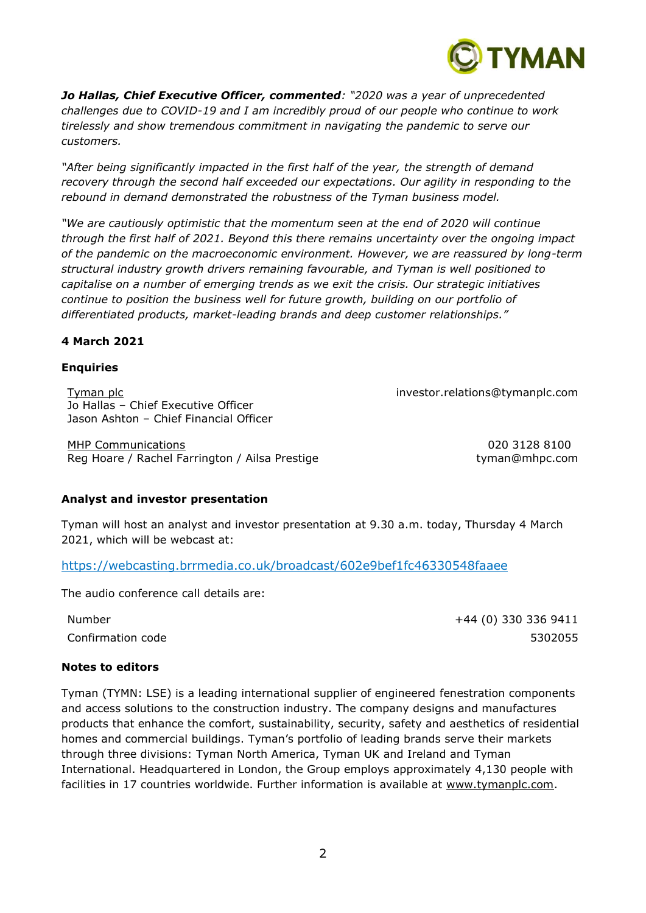

*Jo Hallas, Chief Executive Officer, commented: "2020 was a year of unprecedented challenges due to COVID-19 and I am incredibly proud of our people who continue to work tirelessly and show tremendous commitment in navigating the pandemic to serve our customers.*

*"After being significantly impacted in the first half of the year, the strength of demand recovery through the second half exceeded our expectations. Our agility in responding to the rebound in demand demonstrated the robustness of the Tyman business model.*

*"We are cautiously optimistic that the momentum seen at the end of 2020 will continue through the first half of 2021. Beyond this there remains uncertainty over the ongoing impact of the pandemic on the macroeconomic environment. However, we are reassured by long-term structural industry growth drivers remaining favourable, and Tyman is well positioned to capitalise on a number of emerging trends as we exit the crisis. Our strategic initiatives continue to position the business well for future growth, building on our portfolio of differentiated products, market-leading brands and deep customer relationships."*

## **4 March 2021**

## **Enquiries**

Tyman plc investor.relations@tymanplc.com Jo Hallas – Chief Executive Officer Jason Ashton – Chief Financial Officer

MHP Communications 020 3128 8100 Reg Hoare / Rachel Farrington / Ailsa Prestige tyman@mhpc.com

## **Analyst and investor presentation**

Tyman will host an analyst and investor presentation at 9.30 a.m. today, Thursday 4 March 2021, which will be webcast at:

[https://webcasting.brrmedia.co.uk/broadcast/602e9bef1fc46330548faaee](https://eur01.safelinks.protection.outlook.com/?url=https%3A%2F%2Fwebcasting.brrmedia.co.uk%2Fbroadcast%2F602e9bef1fc46330548faaee&data=04%7C01%7Cjuliette.lowes%40tymanplc.com%7C7fddf48d00cd464adfcd08d8de3eb1e2%7C4f7adb5b083a417596749783fd8af0a5%7C1%7C0%7C637503708189025609%7CUnknown%7CTWFpbGZsb3d8eyJWIjoiMC4wLjAwMDAiLCJQIjoiV2luMzIiLCJBTiI6Ik1haWwiLCJXVCI6Mn0%3D%7C1000&sdata=Tk2%2FQyrDZ5WhiCRP%2Bd2%2FYQjlXZrPQMN7aaaAQVxa9Dw%3D&reserved=0)

The audio conference call details are:

Number +44 (0) 330 336 9411 Confirmation code 5302055

## **Notes to editors**

Tyman (TYMN: LSE) is a leading international supplier of engineered fenestration components and access solutions to the construction industry. The company designs and manufactures products that enhance the comfort, sustainability, security, safety and aesthetics of residential homes and commercial buildings. Tyman's portfolio of leading brands serve their markets through three divisions: Tyman North America, Tyman UK and Ireland and Tyman International. Headquartered in London, the Group employs approximately 4,130 people with facilities in 17 countries worldwide. Further information is available at [www.tymanplc.com.](http://www.tymanplc.com/)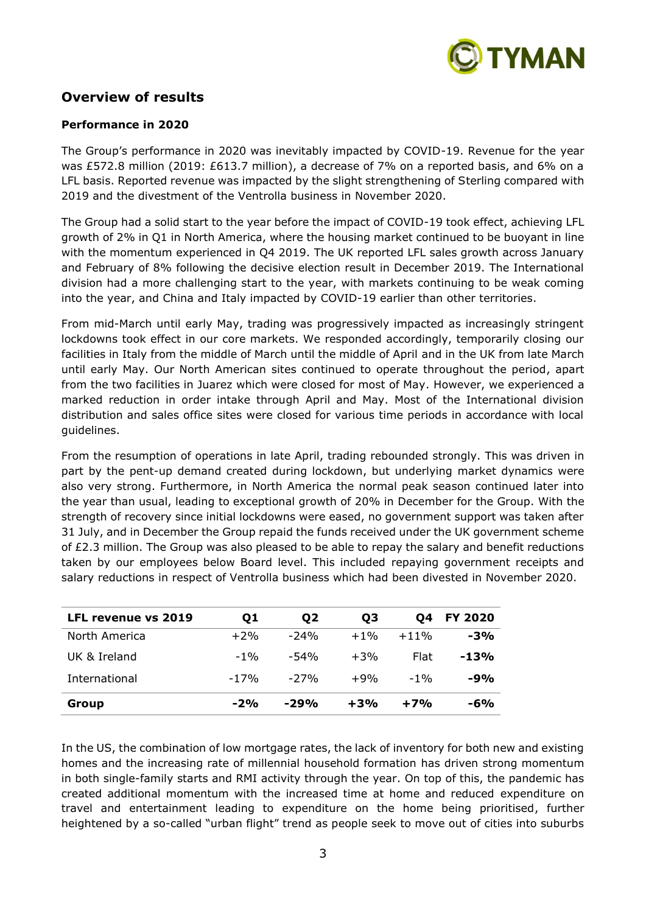

## **Overview of results**

## **Performance in 2020**

The Group's performance in 2020 was inevitably impacted by COVID-19. Revenue for the year was £572.8 million (2019: £613.7 million), a decrease of 7% on a reported basis, and 6% on a LFL basis. Reported revenue was impacted by the slight strengthening of Sterling compared with 2019 and the divestment of the Ventrolla business in November 2020.

The Group had a solid start to the year before the impact of COVID-19 took effect, achieving LFL growth of 2% in Q1 in North America, where the housing market continued to be buoyant in line with the momentum experienced in Q4 2019. The UK reported LFL sales growth across January and February of 8% following the decisive election result in December 2019. The International division had a more challenging start to the year, with markets continuing to be weak coming into the year, and China and Italy impacted by COVID-19 earlier than other territories.

From mid-March until early May, trading was progressively impacted as increasingly stringent lockdowns took effect in our core markets. We responded accordingly, temporarily closing our facilities in Italy from the middle of March until the middle of April and in the UK from late March until early May. Our North American sites continued to operate throughout the period, apart from the two facilities in Juarez which were closed for most of May. However, we experienced a marked reduction in order intake through April and May. Most of the International division distribution and sales office sites were closed for various time periods in accordance with local guidelines.

From the resumption of operations in late April, trading rebounded strongly. This was driven in part by the pent-up demand created during lockdown, but underlying market dynamics were also very strong. Furthermore, in North America the normal peak season continued later into the year than usual, leading to exceptional growth of 20% in December for the Group. With the strength of recovery since initial lockdowns were eased, no government support was taken after 31 July, and in December the Group repaid the funds received under the UK government scheme of £2.3 million. The Group was also pleased to be able to repay the salary and benefit reductions taken by our employees below Board level. This included repaying government receipts and salary reductions in respect of Ventrolla business which had been divested in November 2020.

| <b>LFL revenue vs 2019</b> | Q1     | Q <sub>2</sub> | Q3     | O4     | <b>FY 2020</b> |
|----------------------------|--------|----------------|--------|--------|----------------|
| North America              | $+2%$  | $-24%$         | $+1\%$ | $+11%$ | $-3%$          |
| UK & Ireland               | $-1\%$ | -54%           | $+3%$  | Flat   | $-13%$         |
| International              | $-17%$ | -27%           | $+9%$  | $-1\%$ | $-9%$          |
| Group                      | $-2%$  | $-29%$         | $+3%$  | $+7%$  | $-6%$          |

In the US, the combination of low mortgage rates, the lack of inventory for both new and existing homes and the increasing rate of millennial household formation has driven strong momentum in both single-family starts and RMI activity through the year. On top of this, the pandemic has created additional momentum with the increased time at home and reduced expenditure on travel and entertainment leading to expenditure on the home being prioritised, further heightened by a so-called "urban flight" trend as people seek to move out of cities into suburbs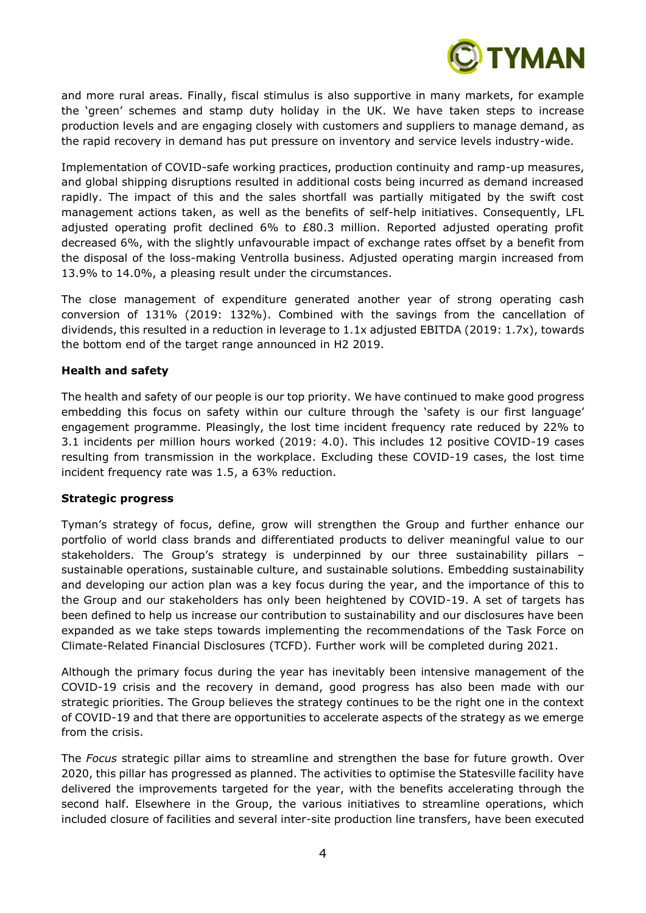

and more rural areas. Finally, fiscal stimulus is also supportive in many markets, for example the 'green' schemes and stamp duty holiday in the UK. We have taken steps to increase production levels and are engaging closely with customers and suppliers to manage demand, as the rapid recovery in demand has put pressure on inventory and service levels industry-wide.

Implementation of COVID-safe working practices, production continuity and ramp-up measures, and global shipping disruptions resulted in additional costs being incurred as demand increased rapidly. The impact of this and the sales shortfall was partially mitigated by the swift cost management actions taken, as well as the benefits of self-help initiatives. Consequently, LFL adjusted operating profit declined  $6\%$  to  $£80.3$  million. Reported adjusted operating profit decreased 6%, with the slightly unfavourable impact of exchange rates offset by a benefit from the disposal of the loss-making Ventrolla business. Adjusted operating margin increased from 13.9% to 14.0%, a pleasing result under the circumstances.

The close management of expenditure generated another year of strong operating cash conversion of 131% (2019: 132%). Combined with the savings from the cancellation of dividends, this resulted in a reduction in leverage to 1.1x adjusted EBITDA (2019: 1.7x), towards the bottom end of the target range announced in H2 2019.

## **Health and safety**

The health and safety of our people is our top priority. We have continued to make good progress embedding this focus on safety within our culture through the 'safety is our first language' engagement programme. Pleasingly, the lost time incident frequency rate reduced by 22% to 3.1 incidents per million hours worked (2019: 4.0). This includes 12 positive COVID-19 cases resulting from transmission in the workplace. Excluding these COVID-19 cases, the lost time incident frequency rate was 1.5, a 63% reduction.

## **Strategic progress**

Tyman's strategy of focus, define, grow will strengthen the Group and further enhance our portfolio of world class brands and differentiated products to deliver meaningful value to our stakeholders. The Group's strategy is underpinned by our three sustainability pillars – sustainable operations, sustainable culture, and sustainable solutions. Embedding sustainability and developing our action plan was a key focus during the year, and the importance of this to the Group and our stakeholders has only been heightened by COVID-19. A set of targets has been defined to help us increase our contribution to sustainability and our disclosures have been expanded as we take steps towards implementing the recommendations of the Task Force on Climate-Related Financial Disclosures (TCFD). Further work will be completed during 2021.

Although the primary focus during the year has inevitably been intensive management of the COVID-19 crisis and the recovery in demand, good progress has also been made with our strategic priorities. The Group believes the strategy continues to be the right one in the context of COVID-19 and that there are opportunities to accelerate aspects of the strategy as we emerge from the crisis.

The *Focus* strategic pillar aims to streamline and strengthen the base for future growth. Over 2020, this pillar has progressed as planned. The activities to optimise the Statesville facility have delivered the improvements targeted for the year, with the benefits accelerating through the second half. Elsewhere in the Group, the various initiatives to streamline operations, which included closure of facilities and several inter-site production line transfers, have been executed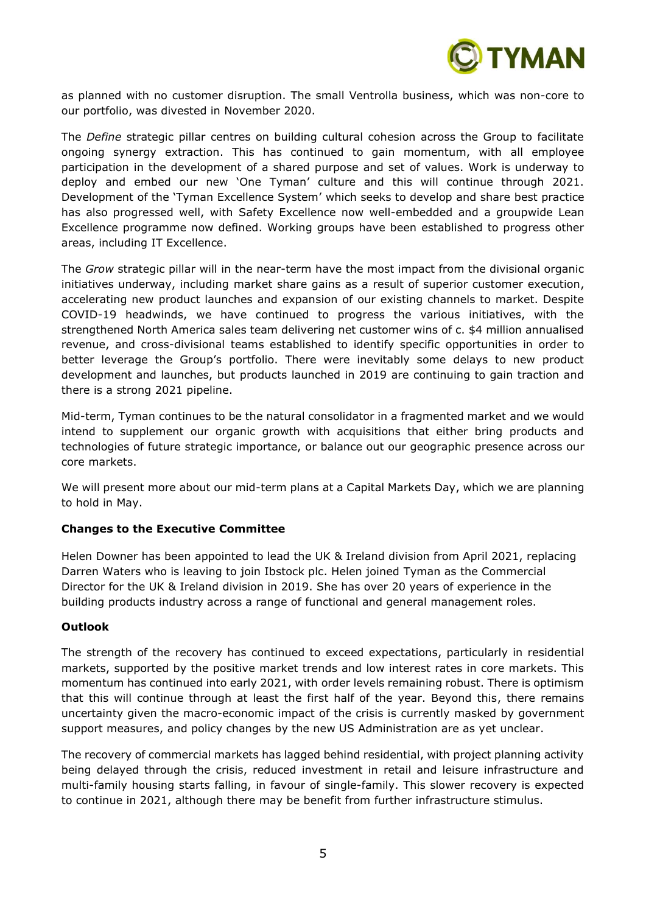

as planned with no customer disruption. The small Ventrolla business, which was non-core to our portfolio, was divested in November 2020.

The *Define* strategic pillar centres on building cultural cohesion across the Group to facilitate ongoing synergy extraction. This has continued to gain momentum, with all employee participation in the development of a shared purpose and set of values. Work is underway to deploy and embed our new 'One Tyman' culture and this will continue through 2021. Development of the 'Tyman Excellence System' which seeks to develop and share best practice has also progressed well, with Safety Excellence now well-embedded and a groupwide Lean Excellence programme now defined. Working groups have been established to progress other areas, including IT Excellence.

The *Grow* strategic pillar will in the near-term have the most impact from the divisional organic initiatives underway, including market share gains as a result of superior customer execution, accelerating new product launches and expansion of our existing channels to market. Despite COVID-19 headwinds, we have continued to progress the various initiatives, with the strengthened North America sales team delivering net customer wins of c. \$4 million annualised revenue, and cross-divisional teams established to identify specific opportunities in order to better leverage the Group's portfolio. There were inevitably some delays to new product development and launches, but products launched in 2019 are continuing to gain traction and there is a strong 2021 pipeline.

Mid-term, Tyman continues to be the natural consolidator in a fragmented market and we would intend to supplement our organic growth with acquisitions that either bring products and technologies of future strategic importance, or balance out our geographic presence across our core markets.

We will present more about our mid-term plans at a Capital Markets Day, which we are planning to hold in May.

## **Changes to the Executive Committee**

Helen Downer has been appointed to lead the UK & Ireland division from April 2021, replacing Darren Waters who is leaving to join Ibstock plc. Helen joined Tyman as the Commercial Director for the UK & Ireland division in 2019. She has over 20 years of experience in the building products industry across a range of functional and general management roles.

## **Outlook**

The strength of the recovery has continued to exceed expectations, particularly in residential markets, supported by the positive market trends and low interest rates in core markets. This momentum has continued into early 2021, with order levels remaining robust. There is optimism that this will continue through at least the first half of the year. Beyond this, there remains uncertainty given the macro-economic impact of the crisis is currently masked by government support measures, and policy changes by the new US Administration are as yet unclear.

The recovery of commercial markets has lagged behind residential, with project planning activity being delayed through the crisis, reduced investment in retail and leisure infrastructure and multi-family housing starts falling, in favour of single-family. This slower recovery is expected to continue in 2021, although there may be benefit from further infrastructure stimulus.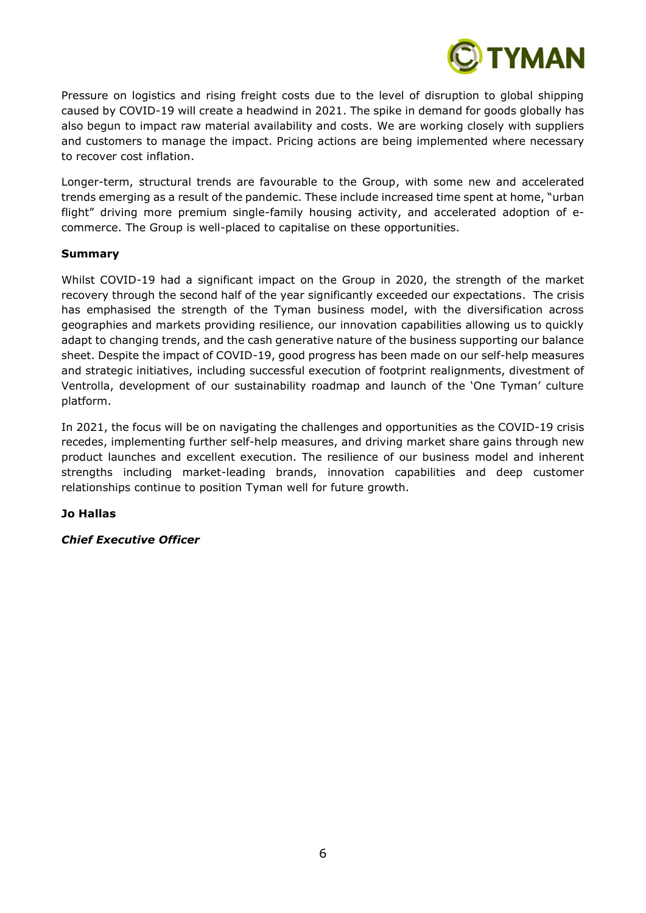

Pressure on logistics and rising freight costs due to the level of disruption to global shipping caused by COVID-19 will create a headwind in 2021. The spike in demand for goods globally has also begun to impact raw material availability and costs. We are working closely with suppliers and customers to manage the impact. Pricing actions are being implemented where necessary to recover cost inflation.

Longer-term, structural trends are favourable to the Group, with some new and accelerated trends emerging as a result of the pandemic. These include increased time spent at home, "urban flight" driving more premium single-family housing activity, and accelerated adoption of ecommerce. The Group is well-placed to capitalise on these opportunities.

## **Summary**

Whilst COVID-19 had a significant impact on the Group in 2020, the strength of the market recovery through the second half of the year significantly exceeded our expectations. The crisis has emphasised the strength of the Tyman business model, with the diversification across geographies and markets providing resilience, our innovation capabilities allowing us to quickly adapt to changing trends, and the cash generative nature of the business supporting our balance sheet. Despite the impact of COVID-19, good progress has been made on our self-help measures and strategic initiatives, including successful execution of footprint realignments, divestment of Ventrolla, development of our sustainability roadmap and launch of the 'One Tyman' culture platform.

In 2021, the focus will be on navigating the challenges and opportunities as the COVID-19 crisis recedes, implementing further self-help measures, and driving market share gains through new product launches and excellent execution. The resilience of our business model and inherent strengths including market-leading brands, innovation capabilities and deep customer relationships continue to position Tyman well for future growth.

## **Jo Hallas**

## *Chief Executive Officer*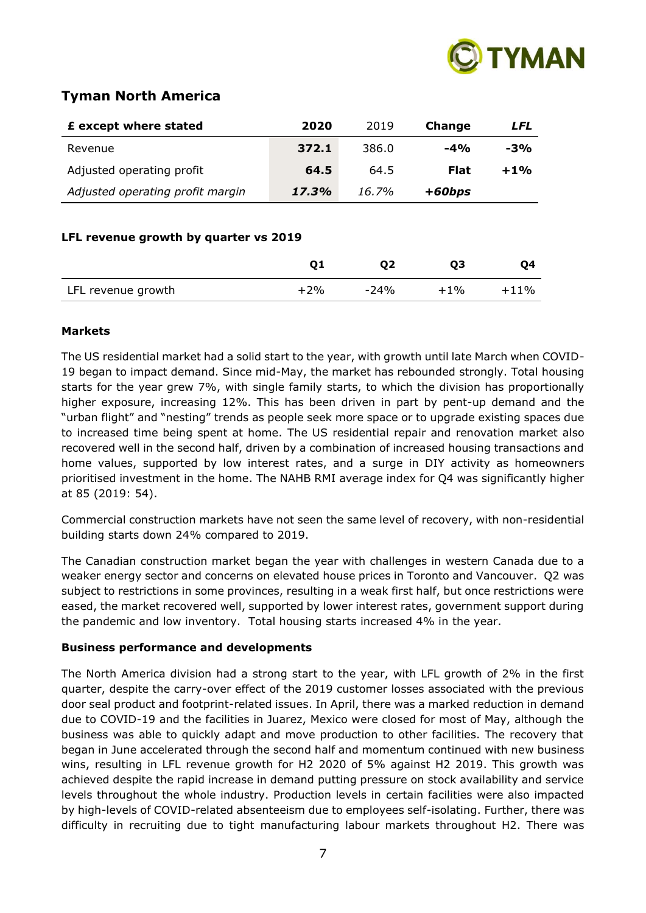

## **Tyman North America**

| 2020  | 2019  | Change      | LFL   |
|-------|-------|-------------|-------|
| 372.1 | 386.0 | $-4%$       | $-3%$ |
| 64.5  | 64.5  | <b>Flat</b> | $+1%$ |
| 17.3% | 16.7% | $+60bps$    |       |
|       |       |             |       |

## **LFL revenue growth by quarter vs 2019**

|                    |       | 02     | 03     | 04      |
|--------------------|-------|--------|--------|---------|
| LFL revenue growth | $+2%$ | $-24%$ | $+1\%$ | $+11\%$ |

## **Markets**

The US residential market had a solid start to the year, with growth until late March when COVID-19 began to impact demand. Since mid-May, the market has rebounded strongly. Total housing starts for the year grew 7%, with single family starts, to which the division has proportionally higher exposure, increasing 12%. This has been driven in part by pent-up demand and the "urban flight" and "nesting" trends as people seek more space or to upgrade existing spaces due to increased time being spent at home. The US residential repair and renovation market also recovered well in the second half, driven by a combination of increased housing transactions and home values, supported by low interest rates, and a surge in DIY activity as homeowners prioritised investment in the home. The NAHB RMI average index for Q4 was significantly higher at 85 (2019: 54).

Commercial construction markets have not seen the same level of recovery, with non-residential building starts down 24% compared to 2019.

The Canadian construction market began the year with challenges in western Canada due to a weaker energy sector and concerns on elevated house prices in Toronto and Vancouver. Q2 was subject to restrictions in some provinces, resulting in a weak first half, but once restrictions were eased, the market recovered well, supported by lower interest rates, government support during the pandemic and low inventory. Total housing starts increased 4% in the year.

## **Business performance and developments**

The North America division had a strong start to the year, with LFL growth of 2% in the first quarter, despite the carry-over effect of the 2019 customer losses associated with the previous door seal product and footprint-related issues. In April, there was a marked reduction in demand due to COVID-19 and the facilities in Juarez, Mexico were closed for most of May, although the business was able to quickly adapt and move production to other facilities. The recovery that began in June accelerated through the second half and momentum continued with new business wins, resulting in LFL revenue growth for H2 2020 of 5% against H2 2019. This growth was achieved despite the rapid increase in demand putting pressure on stock availability and service levels throughout the whole industry. Production levels in certain facilities were also impacted by high-levels of COVID-related absenteeism due to employees self-isolating. Further, there was difficulty in recruiting due to tight manufacturing labour markets throughout H2. There was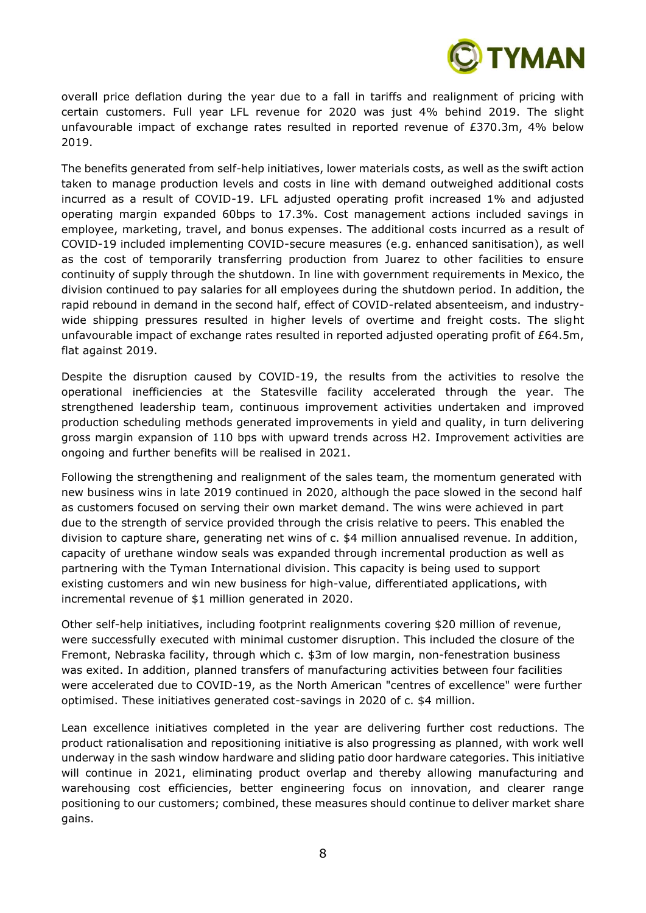

overall price deflation during the year due to a fall in tariffs and realignment of pricing with certain customers. Full year LFL revenue for 2020 was just 4% behind 2019. The slight unfavourable impact of exchange rates resulted in reported revenue of £370.3m, 4% below 2019.

The benefits generated from self-help initiatives, lower materials costs, as well as the swift action taken to manage production levels and costs in line with demand outweighed additional costs incurred as a result of COVID-19. LFL adjusted operating profit increased 1% and adjusted operating margin expanded 60bps to 17.3%. Cost management actions included savings in employee, marketing, travel, and bonus expenses. The additional costs incurred as a result of COVID-19 included implementing COVID-secure measures (e.g. enhanced sanitisation), as well as the cost of temporarily transferring production from Juarez to other facilities to ensure continuity of supply through the shutdown. In line with government requirements in Mexico, the division continued to pay salaries for all employees during the shutdown period. In addition, the rapid rebound in demand in the second half, effect of COVID-related absenteeism, and industrywide shipping pressures resulted in higher levels of overtime and freight costs. The slight unfavourable impact of exchange rates resulted in reported adjusted operating profit of £64.5m, flat against 2019.

Despite the disruption caused by COVID-19, the results from the activities to resolve the operational inefficiencies at the Statesville facility accelerated through the year. The strengthened leadership team, continuous improvement activities undertaken and improved production scheduling methods generated improvements in yield and quality, in turn delivering gross margin expansion of 110 bps with upward trends across H2. Improvement activities are ongoing and further benefits will be realised in 2021.

Following the strengthening and realignment of the sales team, the momentum generated with new business wins in late 2019 continued in 2020, although the pace slowed in the second half as customers focused on serving their own market demand. The wins were achieved in part due to the strength of service provided through the crisis relative to peers. This enabled the division to capture share, generating net wins of c. \$4 million annualised revenue. In addition, capacity of urethane window seals was expanded through incremental production as well as partnering with the Tyman International division. This capacity is being used to support existing customers and win new business for high-value, differentiated applications, with incremental revenue of \$1 million generated in 2020.

Other self-help initiatives, including footprint realignments covering \$20 million of revenue, were successfully executed with minimal customer disruption. This included the closure of the Fremont, Nebraska facility, through which c. \$3m of low margin, non-fenestration business was exited. In addition, planned transfers of manufacturing activities between four facilities were accelerated due to COVID-19, as the North American "centres of excellence" were further optimised. These initiatives generated cost-savings in 2020 of c. \$4 million.

Lean excellence initiatives completed in the year are delivering further cost reductions. The product rationalisation and repositioning initiative is also progressing as planned, with work well underway in the sash window hardware and sliding patio door hardware categories. This initiative will continue in 2021, eliminating product overlap and thereby allowing manufacturing and warehousing cost efficiencies, better engineering focus on innovation, and clearer range positioning to our customers; combined, these measures should continue to deliver market share gains.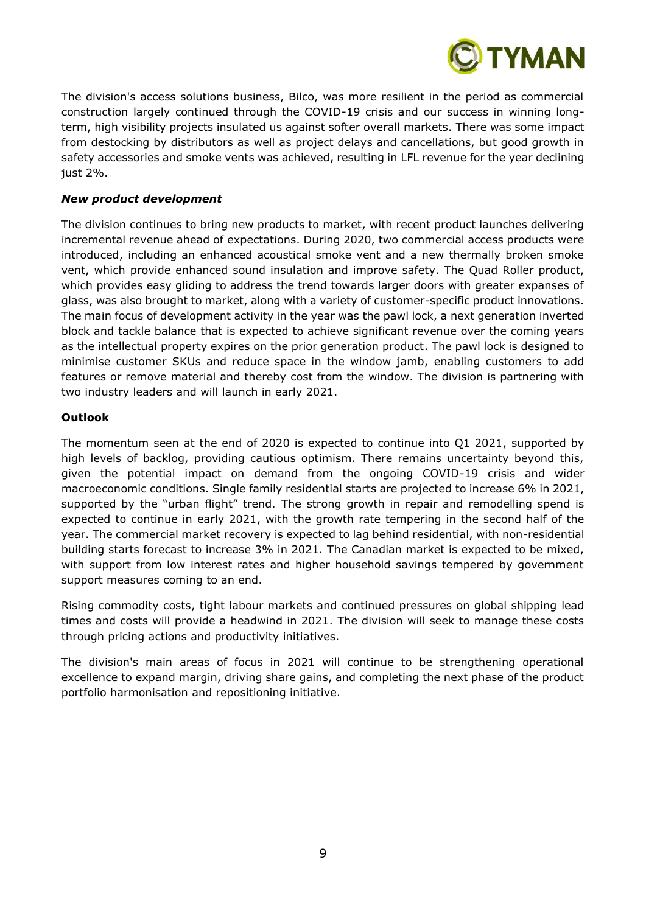

The division's access solutions business, Bilco, was more resilient in the period as commercial construction largely continued through the COVID-19 crisis and our success in winning longterm, high visibility projects insulated us against softer overall markets. There was some impact from destocking by distributors as well as project delays and cancellations, but good growth in safety accessories and smoke vents was achieved, resulting in LFL revenue for the year declining just 2%.

## *New product development*

The division continues to bring new products to market, with recent product launches delivering incremental revenue ahead of expectations. During 2020, two commercial access products were introduced, including an enhanced acoustical smoke vent and a new thermally broken smoke vent, which provide enhanced sound insulation and improve safety. The Quad Roller product, which provides easy gliding to address the trend towards larger doors with greater expanses of glass, was also brought to market, along with a variety of customer-specific product innovations. The main focus of development activity in the year was the pawl lock, a next generation inverted block and tackle balance that is expected to achieve significant revenue over the coming years as the intellectual property expires on the prior generation product. The pawl lock is designed to minimise customer SKUs and reduce space in the window jamb, enabling customers to add features or remove material and thereby cost from the window. The division is partnering with two industry leaders and will launch in early 2021.

## **Outlook**

The momentum seen at the end of 2020 is expected to continue into Q1 2021, supported by high levels of backlog, providing cautious optimism. There remains uncertainty beyond this, given the potential impact on demand from the ongoing COVID-19 crisis and wider macroeconomic conditions. Single family residential starts are projected to increase 6% in 2021, supported by the "urban flight" trend. The strong growth in repair and remodelling spend is expected to continue in early 2021, with the growth rate tempering in the second half of the year. The commercial market recovery is expected to lag behind residential, with non-residential building starts forecast to increase 3% in 2021. The Canadian market is expected to be mixed, with support from low interest rates and higher household savings tempered by government support measures coming to an end.

Rising commodity costs, tight labour markets and continued pressures on global shipping lead times and costs will provide a headwind in 2021. The division will seek to manage these costs through pricing actions and productivity initiatives.

The division's main areas of focus in 2021 will continue to be strengthening operational excellence to expand margin, driving share gains, and completing the next phase of the product portfolio harmonisation and repositioning initiative.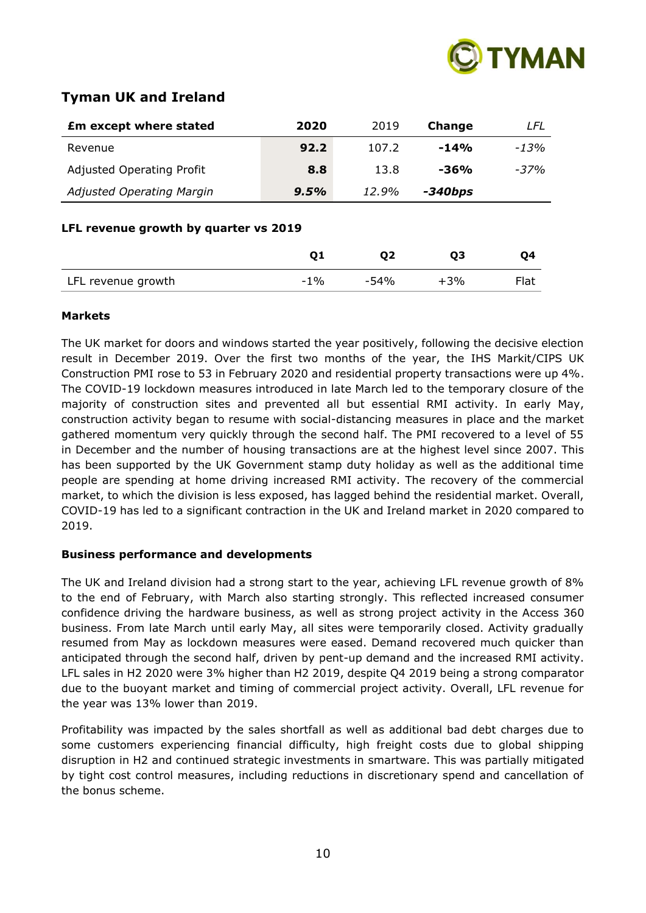

# **Tyman UK and Ireland**

| <b>Em except where stated</b>         | 2020           | 2019   | Change  | LFL     |
|---------------------------------------|----------------|--------|---------|---------|
| Revenue                               | 92.2           | 107.2  | $-14%$  | $-1.3%$ |
| <b>Adjusted Operating Profit</b>      | 8.8            | 13.8   | $-36%$  | $-37%$  |
| <b>Adjusted Operating Margin</b>      | 9.5%           | 12.9%  | -340bps |         |
| LFL revenue growth by quarter vs 2019 | Q <sub>2</sub> | Q3     | Q4      |         |
| LFL revenue growth                    | $-1\%$         | $-54%$ | $+3%$   | Flat    |

## **Markets**

The UK market for doors and windows started the year positively, following the decisive election result in December 2019. Over the first two months of the year, the IHS Markit/CIPS UK Construction PMI rose to 53 in February 2020 and residential property transactions were up 4%. The COVID-19 lockdown measures introduced in late March led to the temporary closure of the majority of construction sites and prevented all but essential RMI activity. In early May, construction activity began to resume with social-distancing measures in place and the market gathered momentum very quickly through the second half. The PMI recovered to a level of 55 in December and the number of housing transactions are at the highest level since 2007. This has been supported by the UK Government stamp duty holiday as well as the additional time people are spending at home driving increased RMI activity. The recovery of the commercial market, to which the division is less exposed, has lagged behind the residential market. Overall, COVID-19 has led to a significant contraction in the UK and Ireland market in 2020 compared to 2019.

## **Business performance and developments**

The UK and Ireland division had a strong start to the year, achieving LFL revenue growth of 8% to the end of February, with March also starting strongly. This reflected increased consumer confidence driving the hardware business, as well as strong project activity in the Access 360 business. From late March until early May, all sites were temporarily closed. Activity gradually resumed from May as lockdown measures were eased. Demand recovered much quicker than anticipated through the second half, driven by pent-up demand and the increased RMI activity. LFL sales in H2 2020 were 3% higher than H2 2019, despite Q4 2019 being a strong comparator due to the buoyant market and timing of commercial project activity. Overall, LFL revenue for the year was 13% lower than 2019.

Profitability was impacted by the sales shortfall as well as additional bad debt charges due to some customers experiencing financial difficulty, high freight costs due to global shipping disruption in H2 and continued strategic investments in smartware. This was partially mitigated by tight cost control measures, including reductions in discretionary spend and cancellation of the bonus scheme.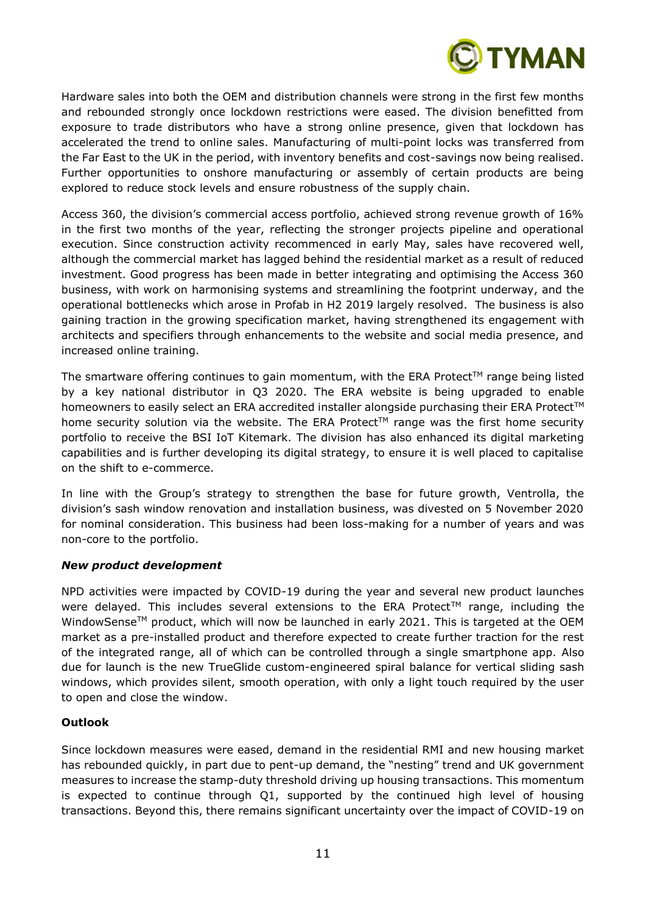

Hardware sales into both the OEM and distribution channels were strong in the first few months and rebounded strongly once lockdown restrictions were eased. The division benefitted from exposure to trade distributors who have a strong online presence, given that lockdown has accelerated the trend to online sales. Manufacturing of multi-point locks was transferred from the Far East to the UK in the period, with inventory benefits and cost-savings now being realised. Further opportunities to onshore manufacturing or assembly of certain products are being explored to reduce stock levels and ensure robustness of the supply chain.

Access 360, the division's commercial access portfolio, achieved strong revenue growth of 16% in the first two months of the year, reflecting the stronger projects pipeline and operational execution. Since construction activity recommenced in early May, sales have recovered well, although the commercial market has lagged behind the residential market as a result of reduced investment. Good progress has been made in better integrating and optimising the Access 360 business, with work on harmonising systems and streamlining the footprint underway, and the operational bottlenecks which arose in Profab in H2 2019 largely resolved. The business is also gaining traction in the growing specification market, having strengthened its engagement with architects and specifiers through enhancements to the website and social media presence, and increased online training.

The smartware offering continues to gain momentum, with the ERA Protect<sup>TM</sup> range being listed by a key national distributor in Q3 2020. The ERA website is being upgraded to enable homeowners to easily select an ERA accredited installer alongside purchasing their ERA Protect™ home security solution via the website. The ERA Protect<sup> $M$ </sup> range was the first home security portfolio to receive the BSI IoT Kitemark. The division has also enhanced its digital marketing capabilities and is further developing its digital strategy, to ensure it is well placed to capitalise on the shift to e-commerce.

In line with the Group's strategy to strengthen the base for future growth, Ventrolla, the division's sash window renovation and installation business, was divested on 5 November 2020 for nominal consideration. This business had been loss-making for a number of years and was non-core to the portfolio.

## *New product development*

NPD activities were impacted by COVID-19 during the year and several new product launches were delayed. This includes several extensions to the ERA Protect™ range, including the WindowSense<sup>™</sup> product, which will now be launched in early 2021. This is targeted at the OEM market as a pre-installed product and therefore expected to create further traction for the rest of the integrated range, all of which can be controlled through a single smartphone app. Also due for launch is the new TrueGlide custom-engineered spiral balance for vertical sliding sash windows, which provides silent, smooth operation, with only a light touch required by the user to open and close the window.

## **Outlook**

Since lockdown measures were eased, demand in the residential RMI and new housing market has rebounded quickly, in part due to pent-up demand, the "nesting" trend and UK government measures to increase the stamp-duty threshold driving up housing transactions. This momentum is expected to continue through Q1, supported by the continued high level of housing transactions. Beyond this, there remains significant uncertainty over the impact of COVID-19 on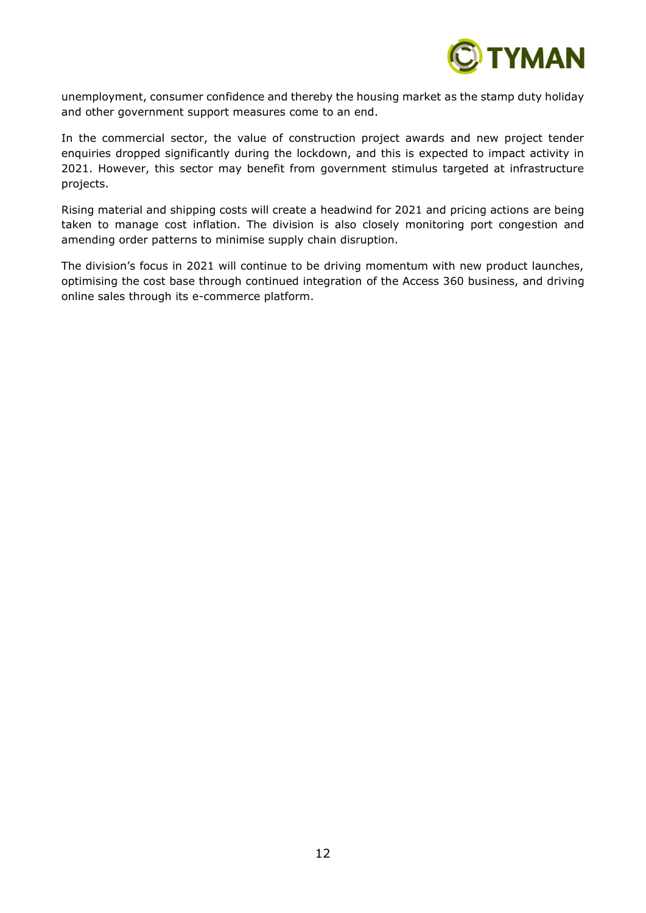

unemployment, consumer confidence and thereby the housing market as the stamp duty holiday and other government support measures come to an end.

In the commercial sector, the value of construction project awards and new project tender enquiries dropped significantly during the lockdown, and this is expected to impact activity in 2021. However, this sector may benefit from government stimulus targeted at infrastructure projects.

Rising material and shipping costs will create a headwind for 2021 and pricing actions are being taken to manage cost inflation. The division is also closely monitoring port congestion and amending order patterns to minimise supply chain disruption.

The division's focus in 2021 will continue to be driving momentum with new product launches, optimising the cost base through continued integration of the Access 360 business, and driving online sales through its e-commerce platform.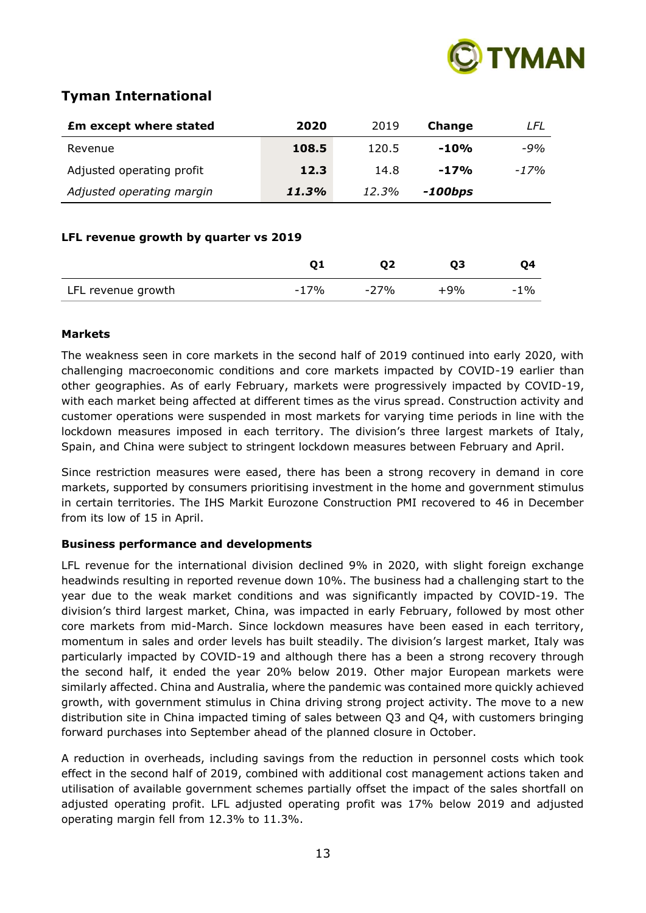

# **Tyman International**

| <b>Em except where stated</b> | 2020  | 2019  | <b>Change</b> | LFL    |
|-------------------------------|-------|-------|---------------|--------|
| Revenue                       | 108.5 | 120.5 | $-10%$        | $-9%$  |
| Adjusted operating profit     | 12.3  | 14.8  | $-17%$        | $-17%$ |
| Adjusted operating margin     | 11.3% | 12.3% | -100bps       |        |

## **LFL revenue growth by quarter vs 2019**

|                    |        |        | Ο3    | 04     |
|--------------------|--------|--------|-------|--------|
| LFL revenue growth | $-17%$ | $-27%$ | $+9%$ | $-1\%$ |

## **Markets**

The weakness seen in core markets in the second half of 2019 continued into early 2020, with challenging macroeconomic conditions and core markets impacted by COVID-19 earlier than other geographies. As of early February, markets were progressively impacted by COVID-19, with each market being affected at different times as the virus spread. Construction activity and customer operations were suspended in most markets for varying time periods in line with the lockdown measures imposed in each territory. The division's three largest markets of Italy, Spain, and China were subject to stringent lockdown measures between February and April.

Since restriction measures were eased, there has been a strong recovery in demand in core markets, supported by consumers prioritising investment in the home and government stimulus in certain territories. The IHS Markit Eurozone Construction PMI recovered to 46 in December from its low of 15 in April.

## **Business performance and developments**

LFL revenue for the international division declined 9% in 2020, with slight foreign exchange headwinds resulting in reported revenue down 10%. The business had a challenging start to the year due to the weak market conditions and was significantly impacted by COVID-19. The division's third largest market, China, was impacted in early February, followed by most other core markets from mid-March. Since lockdown measures have been eased in each territory, momentum in sales and order levels has built steadily. The division's largest market, Italy was particularly impacted by COVID-19 and although there has a been a strong recovery through the second half, it ended the year 20% below 2019. Other major European markets were similarly affected. China and Australia, where the pandemic was contained more quickly achieved growth, with government stimulus in China driving strong project activity. The move to a new distribution site in China impacted timing of sales between Q3 and Q4, with customers bringing forward purchases into September ahead of the planned closure in October.

A reduction in overheads, including savings from the reduction in personnel costs which took effect in the second half of 2019, combined with additional cost management actions taken and utilisation of available government schemes partially offset the impact of the sales shortfall on adjusted operating profit. LFL adjusted operating profit was 17% below 2019 and adjusted operating margin fell from 12.3% to 11.3%.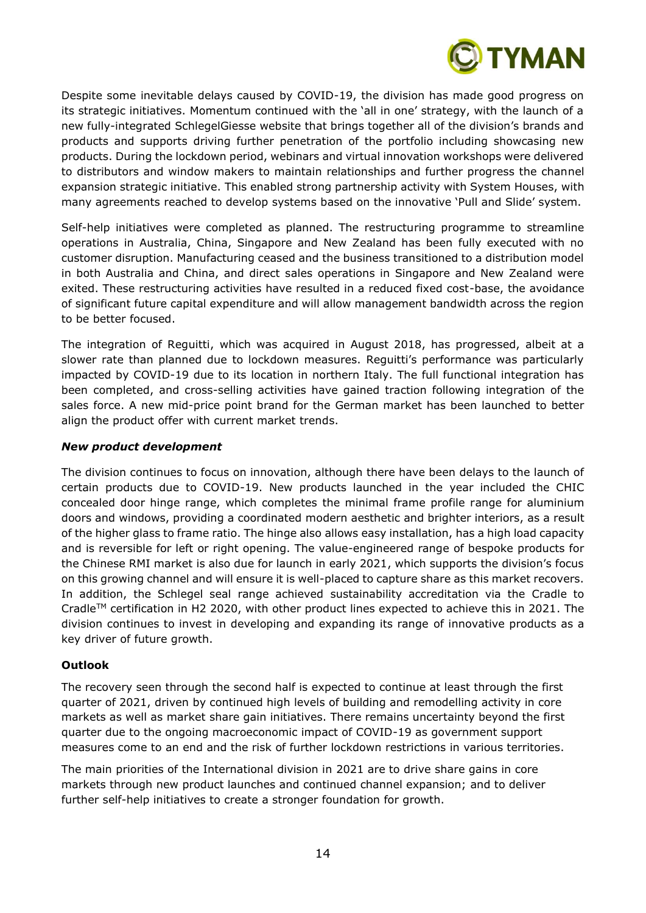

Despite some inevitable delays caused by COVID-19, the division has made good progress on its strategic initiatives. Momentum continued with the 'all in one' strategy, with the launch of a new fully-integrated SchlegelGiesse website that brings together all of the division's brands and products and supports driving further penetration of the portfolio including showcasing new products. During the lockdown period, webinars and virtual innovation workshops were delivered to distributors and window makers to maintain relationships and further progress the channel expansion strategic initiative. This enabled strong partnership activity with System Houses, with many agreements reached to develop systems based on the innovative 'Pull and Slide' system.

Self-help initiatives were completed as planned. The restructuring programme to streamline operations in Australia, China, Singapore and New Zealand has been fully executed with no customer disruption. Manufacturing ceased and the business transitioned to a distribution model in both Australia and China, and direct sales operations in Singapore and New Zealand were exited. These restructuring activities have resulted in a reduced fixed cost-base, the avoidance of significant future capital expenditure and will allow management bandwidth across the region to be better focused.

The integration of Reguitti, which was acquired in August 2018, has progressed, albeit at a slower rate than planned due to lockdown measures. Reguitti's performance was particularly impacted by COVID-19 due to its location in northern Italy. The full functional integration has been completed, and cross-selling activities have gained traction following integration of the sales force. A new mid-price point brand for the German market has been launched to better align the product offer with current market trends.

## *New product development*

The division continues to focus on innovation, although there have been delays to the launch of certain products due to COVID-19. New products launched in the year included the CHIC concealed door hinge range, which completes the minimal frame profile range for aluminium doors and windows, providing a coordinated modern aesthetic and brighter interiors, as a result of the higher glass to frame ratio. The hinge also allows easy installation, has a high load capacity and is reversible for left or right opening. The value-engineered range of bespoke products for the Chinese RMI market is also due for launch in early 2021, which supports the division's focus on this growing channel and will ensure it is well-placed to capture share as this market recovers. In addition, the Schlegel seal range achieved sustainability accreditation via the Cradle to Cradle<sup>TM</sup> certification in H2 2020, with other product lines expected to achieve this in 2021. The division continues to invest in developing and expanding its range of innovative products as a key driver of future growth.

## **Outlook**

The recovery seen through the second half is expected to continue at least through the first quarter of 2021, driven by continued high levels of building and remodelling activity in core markets as well as market share gain initiatives. There remains uncertainty beyond the first quarter due to the ongoing macroeconomic impact of COVID-19 as government support measures come to an end and the risk of further lockdown restrictions in various territories.

The main priorities of the International division in 2021 are to drive share gains in core markets through new product launches and continued channel expansion; and to deliver further self-help initiatives to create a stronger foundation for growth.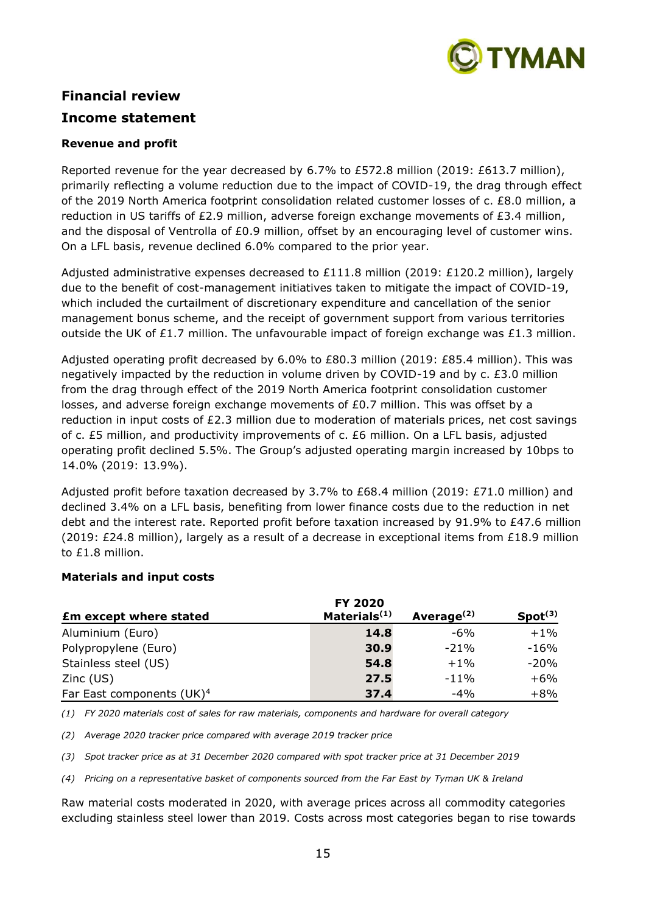

# **Financial review Income statement**

## **Revenue and profit**

Reported revenue for the year decreased by 6.7% to £572.8 million (2019: £613.7 million), primarily reflecting a volume reduction due to the impact of COVID-19, the drag through effect of the 2019 North America footprint consolidation related customer losses of c. £8.0 million, a reduction in US tariffs of £2.9 million, adverse foreign exchange movements of  $E3.4$  million, and the disposal of Ventrolla of £0.9 million, offset by an encouraging level of customer wins. On a LFL basis, revenue declined 6.0% compared to the prior year.

Adjusted administrative expenses decreased to £111.8 million (2019: £120.2 million), largely due to the benefit of cost-management initiatives taken to mitigate the impact of COVID-19, which included the curtailment of discretionary expenditure and cancellation of the senior management bonus scheme, and the receipt of government support from various territories outside the UK of £1.7 million. The unfavourable impact of foreign exchange was £1.3 million.

Adjusted operating profit decreased by 6.0% to £80.3 million (2019: £85.4 million). This was negatively impacted by the reduction in volume driven by COVID-19 and by c. £3.0 million from the drag through effect of the 2019 North America footprint consolidation customer losses, and adverse foreign exchange movements of £0.7 million. This was offset by a reduction in input costs of £2.3 million due to moderation of materials prices, net cost savings of c. £5 million, and productivity improvements of c. £6 million. On a LFL basis, adjusted operating profit declined 5.5%. The Group's adjusted operating margin increased by 10bps to 14.0% (2019: 13.9%).

Adjusted profit before taxation decreased by 3.7% to £68.4 million (2019: £71.0 million) and declined 3.4% on a LFL basis, benefiting from lower finance costs due to the reduction in net debt and the interest rate. Reported profit before taxation increased by 91.9% to £47.6 million (2019: £24.8 million), largely as a result of a decrease in exceptional items from £18.9 million to £1.8 million.

## **Materials and input costs**

|                                       | FY 2020                  |               |                     |
|---------------------------------------|--------------------------|---------------|---------------------|
| <b>Em except where stated</b>         | Materials <sup>(1)</sup> | Average $(2)$ | Spot <sup>(3)</sup> |
| Aluminium (Euro)                      | 14.8                     | -6%           | $+1\%$              |
| Polypropylene (Euro)                  | 30.9                     | $-21%$        | -16%                |
| Stainless steel (US)                  | 54.8                     | $+1\%$        | -20%                |
| Zinc (US)                             | 27.5                     | $-11%$        | $+6%$               |
| Far East components (UK) <sup>4</sup> | 37.4                     | $-4%$         | $+8%$               |

*(1) FY 2020 materials cost of sales for raw materials, components and hardware for overall category*

*(2) Average 2020 tracker price compared with average 2019 tracker price* 

*(3) Spot tracker price as at 31 December 2020 compared with spot tracker price at 31 December 2019*

*(4) Pricing on a representative basket of components sourced from the Far East by Tyman UK & Ireland*

Raw material costs moderated in 2020, with average prices across all commodity categories excluding stainless steel lower than 2019. Costs across most categories began to rise towards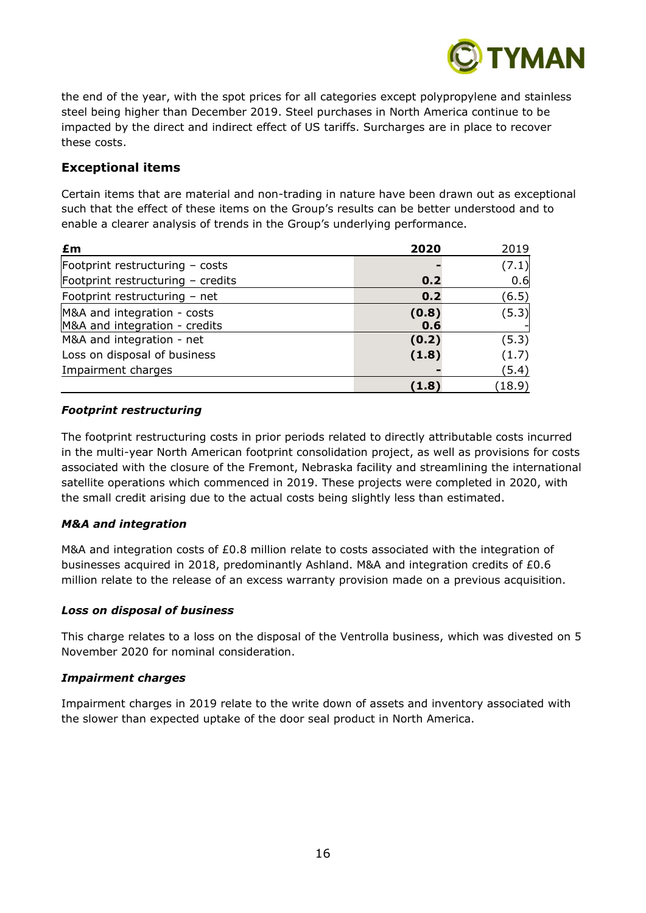

the end of the year, with the spot prices for all categories except polypropylene and stainless steel being higher than December 2019. Steel purchases in North America continue to be impacted by the direct and indirect effect of US tariffs. Surcharges are in place to recover these costs.

## **Exceptional items**

Certain items that are material and non-trading in nature have been drawn out as exceptional such that the effect of these items on the Group's results can be better understood and to enable a clearer analysis of trends in the Group's underlying performance.

| £m                                | 2020  | 2019   |
|-----------------------------------|-------|--------|
| Footprint restructuring - costs   |       | (7.1)  |
| Footprint restructuring - credits | 0.2   | 0.6    |
| Footprint restructuring - net     | 0.2   | (6.5)  |
| M&A and integration - costs       | (0.8) | (5.3)  |
| M&A and integration - credits     | 0.6   |        |
| M&A and integration - net         | (0.2) | (5.3)  |
| Loss on disposal of business      | (1.8) | (1.7)  |
| Impairment charges                |       | (5.4)  |
|                                   | (1.8) | (18.9) |

## *Footprint restructuring*

The footprint restructuring costs in prior periods related to directly attributable costs incurred in the multi-year North American footprint consolidation project, as well as provisions for costs associated with the closure of the Fremont, Nebraska facility and streamlining the international satellite operations which commenced in 2019. These projects were completed in 2020, with the small credit arising due to the actual costs being slightly less than estimated.

## *M&A and integration*

M&A and integration costs of £0.8 million relate to costs associated with the integration of businesses acquired in 2018, predominantly Ashland. M&A and integration credits of £0.6 million relate to the release of an excess warranty provision made on a previous acquisition.

## *Loss on disposal of business*

This charge relates to a loss on the disposal of the Ventrolla business, which was divested on 5 November 2020 for nominal consideration.

## *Impairment charges*

Impairment charges in 2019 relate to the write down of assets and inventory associated with the slower than expected uptake of the door seal product in North America.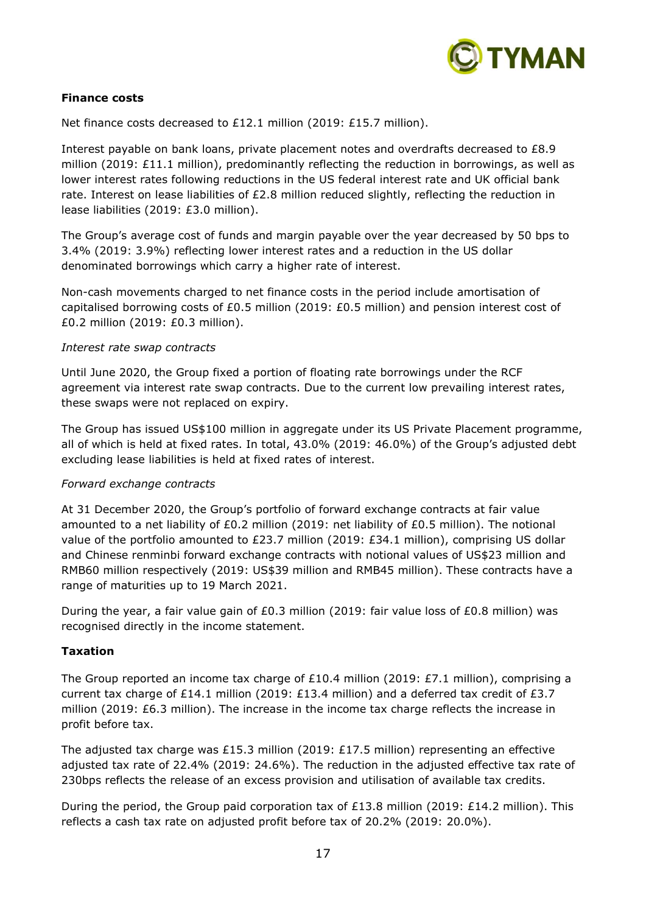

## **Finance costs**

Net finance costs decreased to £12.1 million (2019: £15.7 million).

Interest payable on bank loans, private placement notes and overdrafts decreased to £8.9 million (2019: £11.1 million), predominantly reflecting the reduction in borrowings, as well as lower interest rates following reductions in the US federal interest rate and UK official bank rate. Interest on lease liabilities of £2.8 million reduced slightly, reflecting the reduction in lease liabilities (2019: £3.0 million).

The Group's average cost of funds and margin payable over the year decreased by 50 bps to 3.4% (2019: 3.9%) reflecting lower interest rates and a reduction in the US dollar denominated borrowings which carry a higher rate of interest.

Non-cash movements charged to net finance costs in the period include amortisation of capitalised borrowing costs of £0.5 million (2019: £0.5 million) and pension interest cost of £0.2 million (2019: £0.3 million).

## *Interest rate swap contracts*

Until June 2020, the Group fixed a portion of floating rate borrowings under the RCF agreement via interest rate swap contracts. Due to the current low prevailing interest rates, these swaps were not replaced on expiry.

The Group has issued US\$100 million in aggregate under its US Private Placement programme, all of which is held at fixed rates. In total, 43.0% (2019: 46.0%) of the Group's adjusted debt excluding lease liabilities is held at fixed rates of interest.

## *Forward exchange contracts*

At 31 December 2020, the Group's portfolio of forward exchange contracts at fair value amounted to a net liability of £0.2 million (2019: net liability of £0.5 million). The notional value of the portfolio amounted to £23.7 million (2019: £34.1 million), comprising US dollar and Chinese renminbi forward exchange contracts with notional values of US\$23 million and RMB60 million respectively (2019: US\$39 million and RMB45 million). These contracts have a range of maturities up to 19 March 2021.

During the year, a fair value gain of £0.3 million (2019: fair value loss of £0.8 million) was recognised directly in the income statement.

## **Taxation**

The Group reported an income tax charge of £10.4 million (2019: £7.1 million), comprising a current tax charge of £14.1 million (2019: £13.4 million) and a deferred tax credit of £3.7 million (2019: £6.3 million). The increase in the income tax charge reflects the increase in profit before tax.

The adjusted tax charge was £15.3 million (2019: £17.5 million) representing an effective adjusted tax rate of 22.4% (2019: 24.6%). The reduction in the adjusted effective tax rate of 230bps reflects the release of an excess provision and utilisation of available tax credits.

During the period, the Group paid corporation tax of £13.8 million (2019: £14.2 million). This reflects a cash tax rate on adjusted profit before tax of 20.2% (2019: 20.0%).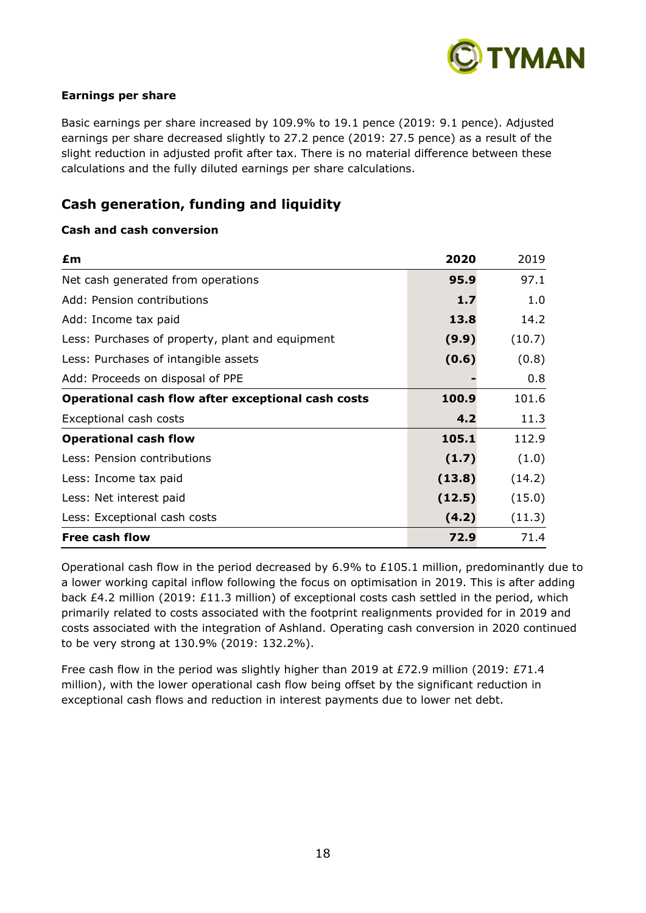

## **Earnings per share**

Basic earnings per share increased by 109.9% to 19.1 pence (2019: 9.1 pence). Adjusted earnings per share decreased slightly to 27.2 pence (2019: 27.5 pence) as a result of the slight reduction in adjusted profit after tax. There is no material difference between these calculations and the fully diluted earnings per share calculations.

## **Cash generation, funding and liquidity**

## **Cash and cash conversion**

| £m                                                 | 2020   | 2019   |
|----------------------------------------------------|--------|--------|
| Net cash generated from operations                 | 95.9   | 97.1   |
| Add: Pension contributions                         | 1.7    | 1.0    |
| Add: Income tax paid                               | 13.8   | 14.2   |
| Less: Purchases of property, plant and equipment   | (9.9)  | (10.7) |
| Less: Purchases of intangible assets               | (0.6)  | (0.8)  |
| Add: Proceeds on disposal of PPE                   |        | 0.8    |
| Operational cash flow after exceptional cash costs | 100.9  | 101.6  |
| Exceptional cash costs                             | 4.2    | 11.3   |
| <b>Operational cash flow</b>                       | 105.1  | 112.9  |
| Less: Pension contributions                        | (1.7)  | (1.0)  |
| Less: Income tax paid                              | (13.8) | (14.2) |
| Less: Net interest paid                            | (12.5) | (15.0) |
| Less: Exceptional cash costs                       | (4.2)  | (11.3) |
| <b>Free cash flow</b>                              | 72.9   | 71.4   |

Operational cash flow in the period decreased by 6.9% to £105.1 million, predominantly due to a lower working capital inflow following the focus on optimisation in 2019. This is after adding back £4.2 million (2019: £11.3 million) of exceptional costs cash settled in the period, which primarily related to costs associated with the footprint realignments provided for in 2019 and costs associated with the integration of Ashland. Operating cash conversion in 2020 continued to be very strong at 130.9% (2019: 132.2%).

Free cash flow in the period was slightly higher than 2019 at £72.9 million (2019: £71.4 million), with the lower operational cash flow being offset by the significant reduction in exceptional cash flows and reduction in interest payments due to lower net debt.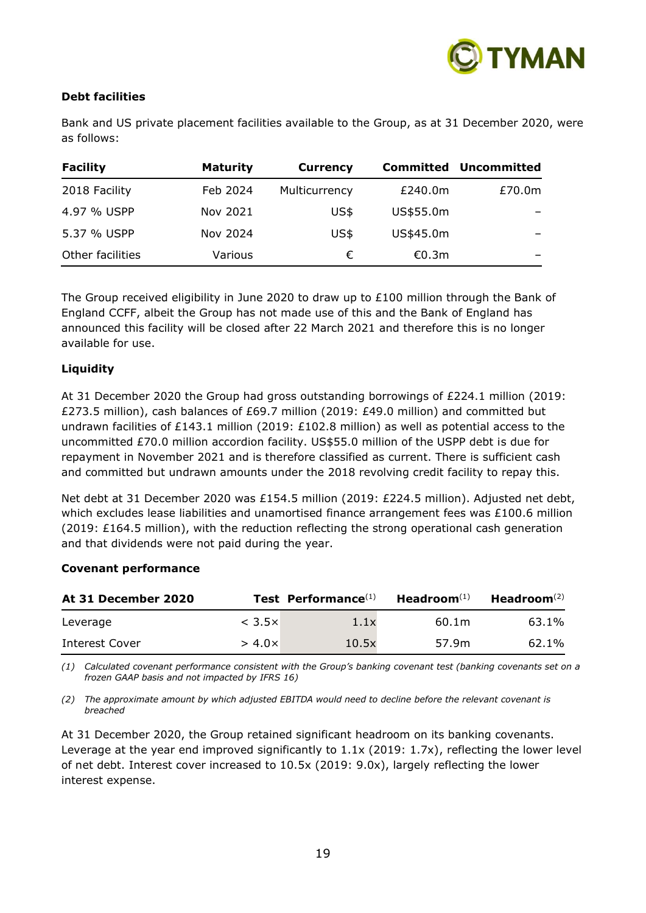

## **Debt facilities**

Bank and US private placement facilities available to the Group, as at 31 December 2020, were as follows:

| <b>Facility</b>  | <b>Maturity</b> | <b>Currency</b> | Committed | <b>Uncommitted</b> |
|------------------|-----------------|-----------------|-----------|--------------------|
| 2018 Facility    | Feb 2024        | Multicurrency   | £240.0m   | £70.0m             |
| 4.97 % USPP      | Nov 2021        | US\$            | US\$55.0m |                    |
| 5.37 % USPP      | Nov 2024        | US\$            | US\$45.0m |                    |
| Other facilities | Various         | €               | €0.3m     |                    |

The Group received eligibility in June 2020 to draw up to £100 million through the Bank of England CCFF, albeit the Group has not made use of this and the Bank of England has announced this facility will be closed after 22 March 2021 and therefore this is no longer available for use.

## **Liquidity**

At 31 December 2020 the Group had gross outstanding borrowings of £224.1 million (2019: £273.5 million), cash balances of £69.7 million (2019: £49.0 million) and committed but undrawn facilities of £143.1 million (2019: £102.8 million) as well as potential access to the uncommitted £70.0 million accordion facility. US\$55.0 million of the USPP debt is due for repayment in November 2021 and is therefore classified as current. There is sufficient cash and committed but undrawn amounts under the 2018 revolving credit facility to repay this.

Net debt at 31 December 2020 was £154.5 million (2019: £224.5 million). Adjusted net debt, which excludes lease liabilities and unamortised finance arrangement fees was £100.6 million  $(2019: E164.5$  million), with the reduction reflecting the strong operational cash generation and that dividends were not paid during the year.

## **Covenant performance**

| At 31 December 2020 |                  | Test Performance <sup>(1)</sup> | Headroom $(1)$ | Headroom $(2)$ |
|---------------------|------------------|---------------------------------|----------------|----------------|
| Leverage            | $<$ 3.5 $\times$ | 1.1x                            | 60.1m          | 63.1%          |
| Interest Cover      | $> 4.0 \times$   | 10.5x                           | 57.9m          | 62.1%          |

*(1) Calculated covenant performance consistent with the Group's banking covenant test (banking covenants set on a frozen GAAP basis and not impacted by IFRS 16)*

*(2) The approximate amount by which adjusted EBITDA would need to decline before the relevant covenant is breached*

At 31 December 2020, the Group retained significant headroom on its banking covenants. Leverage at the year end improved significantly to 1.1x (2019: 1.7x), reflecting the lower level of net debt. Interest cover increased to 10.5x (2019: 9.0x), largely reflecting the lower interest expense.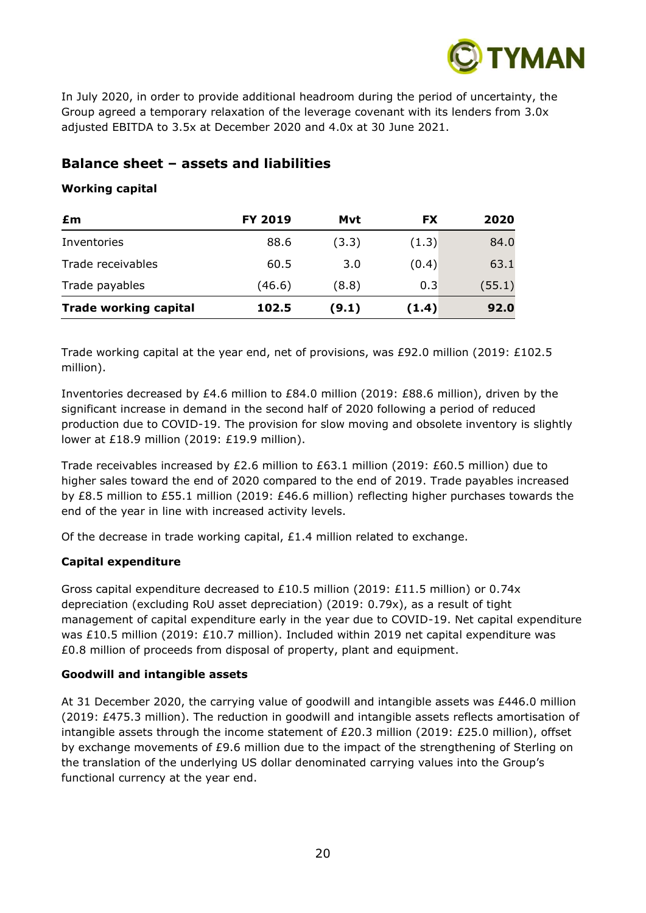

In July 2020, in order to provide additional headroom during the period of uncertainty, the Group agreed a temporary relaxation of the leverage covenant with its lenders from 3.0x adjusted EBITDA to 3.5x at December 2020 and 4.0x at 30 June 2021.

## **Balance sheet – assets and liabilities**

## **Working capital**

| £m                           | <b>FY 2019</b> | Mvt   | <b>FX</b> | 2020   |
|------------------------------|----------------|-------|-----------|--------|
| Inventories                  | 88.6           | (3.3) | (1.3)     | 84.0   |
| Trade receivables            | 60.5           | 3.0   | (0.4)     | 63.1   |
| Trade payables               | (46.6)         | (8.8) | 0.3       | (55.1) |
| <b>Trade working capital</b> | 102.5          | (9.1) | (1.4)     | 92.0   |

Trade working capital at the year end, net of provisions, was £92.0 million (2019: £102.5 million).

Inventories decreased by £4.6 million to £84.0 million (2019: £88.6 million), driven by the significant increase in demand in the second half of 2020 following a period of reduced production due to COVID-19. The provision for slow moving and obsolete inventory is slightly lower at £18.9 million (2019: £19.9 million).

Trade receivables increased by £2.6 million to £63.1 million (2019: £60.5 million) due to higher sales toward the end of 2020 compared to the end of 2019. Trade payables increased by £8.5 million to £55.1 million (2019: £46.6 million) reflecting higher purchases towards the end of the year in line with increased activity levels.

Of the decrease in trade working capital,  $£1.4$  million related to exchange.

## **Capital expenditure**

Gross capital expenditure decreased to £10.5 million (2019: £11.5 million) or 0.74x depreciation (excluding RoU asset depreciation) (2019: 0.79x), as a result of tight management of capital expenditure early in the year due to COVID-19. Net capital expenditure was £10.5 million (2019: £10.7 million). Included within 2019 net capital expenditure was £0.8 million of proceeds from disposal of property, plant and equipment.

## **Goodwill and intangible assets**

At 31 December 2020, the carrying value of goodwill and intangible assets was £446.0 million (2019: £475.3 million). The reduction in goodwill and intangible assets reflects amortisation of intangible assets through the income statement of £20.3 million (2019: £25.0 million), offset by exchange movements of £9.6 million due to the impact of the strengthening of Sterling on the translation of the underlying US dollar denominated carrying values into the Group's functional currency at the year end.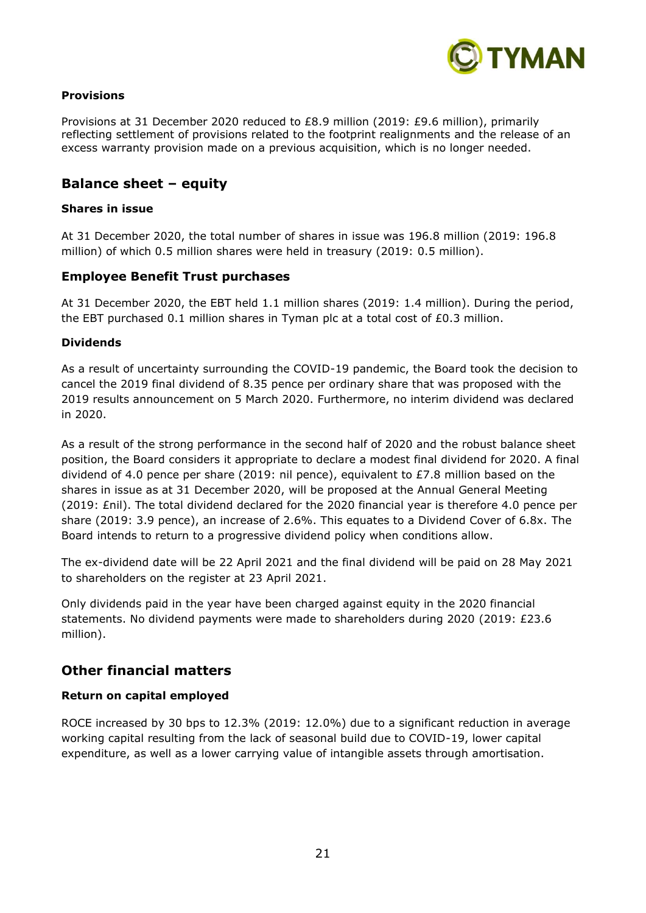

## **Provisions**

Provisions at 31 December 2020 reduced to £8.9 million (2019: £9.6 million), primarily reflecting settlement of provisions related to the footprint realignments and the release of an excess warranty provision made on a previous acquisition, which is no longer needed.

## **Balance sheet – equity**

## **Shares in issue**

At 31 December 2020, the total number of shares in issue was 196.8 million (2019: 196.8 million) of which 0.5 million shares were held in treasury (2019: 0.5 million).

## **Employee Benefit Trust purchases**

At 31 December 2020, the EBT held 1.1 million shares (2019: 1.4 million). During the period, the EBT purchased 0.1 million shares in Tyman plc at a total cost of £0.3 million.

## **Dividends**

As a result of uncertainty surrounding the COVID-19 pandemic, the Board took the decision to cancel the 2019 final dividend of 8.35 pence per ordinary share that was proposed with the 2019 results announcement on 5 March 2020. Furthermore, no interim dividend was declared in 2020.

As a result of the strong performance in the second half of 2020 and the robust balance sheet position, the Board considers it appropriate to declare a modest final dividend for 2020. A final dividend of 4.0 pence per share (2019: nil pence), equivalent to £7.8 million based on the shares in issue as at 31 December 2020, will be proposed at the Annual General Meeting (2019: £nil). The total dividend declared for the 2020 financial year is therefore 4.0 pence per share (2019: 3.9 pence), an increase of 2.6%. This equates to a Dividend Cover of 6.8x. The Board intends to return to a progressive dividend policy when conditions allow.

The ex-dividend date will be 22 April 2021 and the final dividend will be paid on 28 May 2021 to shareholders on the register at 23 April 2021.

Only dividends paid in the year have been charged against equity in the 2020 financial statements. No dividend payments were made to shareholders during 2020 (2019: £23.6 million).

## **Other financial matters**

## **Return on capital employed**

ROCE increased by 30 bps to 12.3% (2019: 12.0%) due to a significant reduction in average working capital resulting from the lack of seasonal build due to COVID-19, lower capital expenditure, as well as a lower carrying value of intangible assets through amortisation.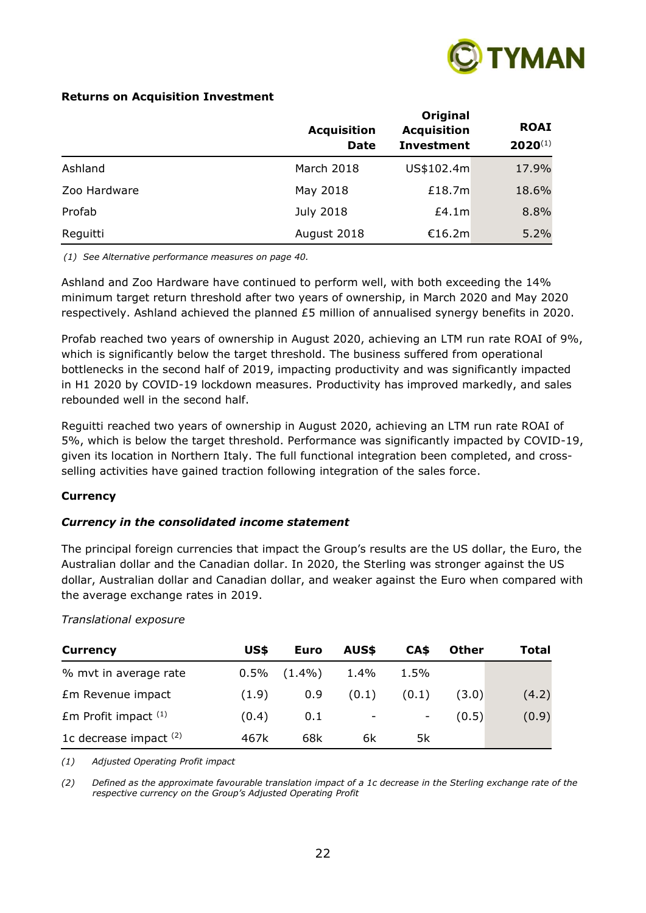

## **Returns on Acquisition Investment**

|              | <b>Acquisition</b><br><b>Date</b> | Original<br><b>Acquisition</b><br><b>Investment</b> | <b>ROAI</b><br>$2020^{(1)}$ |
|--------------|-----------------------------------|-----------------------------------------------------|-----------------------------|
| Ashland      | March 2018                        | US\$102.4m                                          | 17.9%                       |
| Zoo Hardware | May 2018                          | £18.7m                                              | 18.6%                       |
| Profab       | July 2018                         | £4.1m                                               | 8.8%                        |
| Reguitti     | August 2018                       | €16.2m                                              | 5.2%                        |

*(1) See Alternative performance measures on page 40.*

Ashland and Zoo Hardware have continued to perform well, with both exceeding the 14% minimum target return threshold after two years of ownership, in March 2020 and May 2020 respectively. Ashland achieved the planned £5 million of annualised synergy benefits in 2020.

Profab reached two years of ownership in August 2020, achieving an LTM run rate ROAI of 9%, which is significantly below the target threshold. The business suffered from operational bottlenecks in the second half of 2019, impacting productivity and was significantly impacted in H1 2020 by COVID-19 lockdown measures. Productivity has improved markedly, and sales rebounded well in the second half.

Reguitti reached two years of ownership in August 2020, achieving an LTM run rate ROAI of 5%, which is below the target threshold. Performance was significantly impacted by COVID-19, given its location in Northern Italy. The full functional integration been completed, and crossselling activities have gained traction following integration of the sales force.

## **Currency**

## *Currency in the consolidated income statement*

The principal foreign currencies that impact the Group's results are the US dollar, the Euro, the Australian dollar and the Canadian dollar. In 2020, the Sterling was stronger against the US dollar, Australian dollar and Canadian dollar, and weaker against the Euro when compared with the average exchange rates in 2019.

## *Translational exposure*

| <b>Currency</b>          | US\$    | Euro      | AUS\$ | CA\$                     | <b>Other</b> | Total |
|--------------------------|---------|-----------|-------|--------------------------|--------------|-------|
| % mvt in average rate    | $0.5\%$ | $(1.4\%)$ | 1.4%  | 1.5%                     |              |       |
| Em Revenue impact        | (1.9)   | 0.9       | (0.1) | (0.1)                    | (3.0)        | (4.2) |
| $Em$ Profit impact $(1)$ | (0.4)   | 0.1       | -     | $\overline{\phantom{a}}$ | (0.5)        | (0.9) |
| 1c decrease impact $(2)$ | 467k    | 68k       | 6k    | 5k                       |              |       |

*(1) Adjusted Operating Profit impact*

*(2) Defined as the approximate favourable translation impact of a 1c decrease in the Sterling exchange rate of the respective currency on the Group's Adjusted Operating Profit*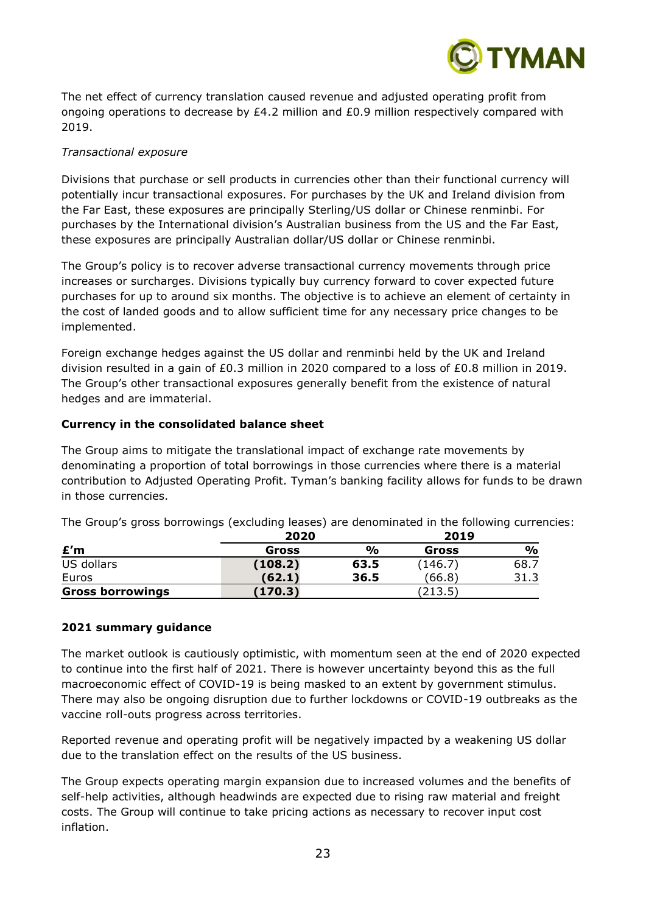

The net effect of currency translation caused revenue and adjusted operating profit from ongoing operations to decrease by £4.2 million and £0.9 million respectively compared with 2019.

## *Transactional exposure*

Divisions that purchase or sell products in currencies other than their functional currency will potentially incur transactional exposures. For purchases by the UK and Ireland division from the Far East, these exposures are principally Sterling/US dollar or Chinese renminbi. For purchases by the International division's Australian business from the US and the Far East, these exposures are principally Australian dollar/US dollar or Chinese renminbi.

The Group's policy is to recover adverse transactional currency movements through price increases or surcharges. Divisions typically buy currency forward to cover expected future purchases for up to around six months. The objective is to achieve an element of certainty in the cost of landed goods and to allow sufficient time for any necessary price changes to be implemented.

Foreign exchange hedges against the US dollar and renminbi held by the UK and Ireland division resulted in a gain of £0.3 million in 2020 compared to a loss of £0.8 million in 2019. The Group's other transactional exposures generally benefit from the existence of natural hedges and are immaterial.

## **Currency in the consolidated balance sheet**

The Group aims to mitigate the translational impact of exchange rate movements by denominating a proportion of total borrowings in those currencies where there is a material contribution to Adjusted Operating Profit. Tyman's banking facility allows for funds to be drawn in those currencies.

The Group's gross borrowings (excluding leases) are denominated in the following currencies:

|                         | 2020    | 2019          |         |      |
|-------------------------|---------|---------------|---------|------|
| £′m                     | Gross   | $\frac{O}{O}$ | Gross   | %    |
| US dollars              | (108.2) | 63.5          | (146.7) | 68.7 |
| Euros                   | (62.1)  | 36.5          | (66.8)  | 31.3 |
| <b>Gross borrowings</b> | (170.3) |               | (213.5) |      |

## **2021 summary guidance**

The market outlook is cautiously optimistic, with momentum seen at the end of 2020 expected to continue into the first half of 2021. There is however uncertainty beyond this as the full macroeconomic effect of COVID-19 is being masked to an extent by government stimulus. There may also be ongoing disruption due to further lockdowns or COVID-19 outbreaks as the vaccine roll-outs progress across territories.

Reported revenue and operating profit will be negatively impacted by a weakening US dollar due to the translation effect on the results of the US business.

The Group expects operating margin expansion due to increased volumes and the benefits of self-help activities, although headwinds are expected due to rising raw material and freight costs. The Group will continue to take pricing actions as necessary to recover input cost inflation.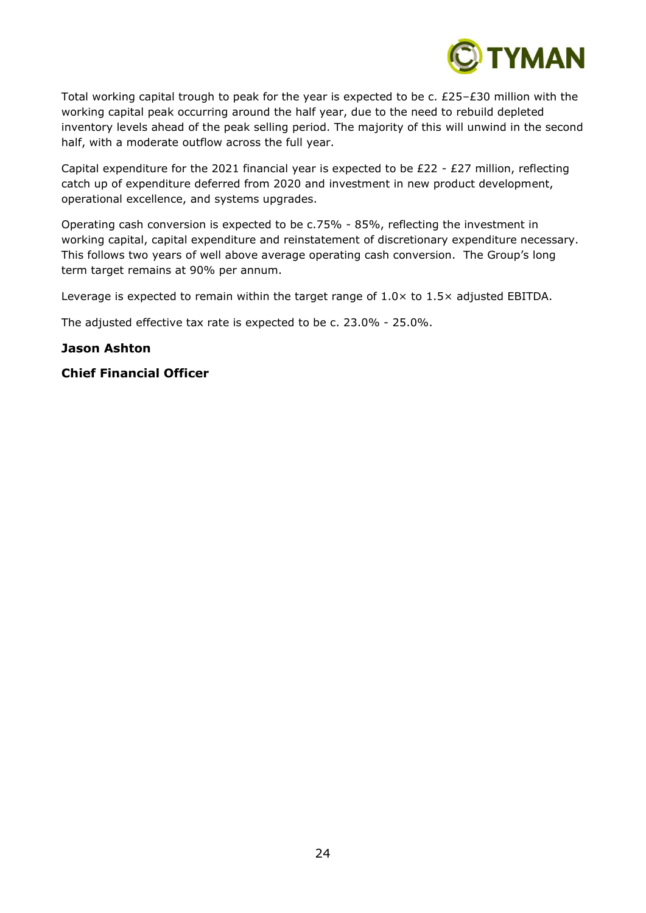

Total working capital trough to peak for the year is expected to be c. £25–£30 million with the working capital peak occurring around the half year, due to the need to rebuild depleted inventory levels ahead of the peak selling period. The majority of this will unwind in the second half, with a moderate outflow across the full year.

Capital expenditure for the 2021 financial year is expected to be  $E22 - E27$  million, reflecting catch up of expenditure deferred from 2020 and investment in new product development, operational excellence, and systems upgrades.

Operating cash conversion is expected to be c.75% - 85%, reflecting the investment in working capital, capital expenditure and reinstatement of discretionary expenditure necessary. This follows two years of well above average operating cash conversion. The Group's long term target remains at 90% per annum.

Leverage is expected to remain within the target range of  $1.0 \times$  to  $1.5 \times$  adjusted EBITDA.

The adjusted effective tax rate is expected to be c. 23.0% - 25.0%.

## **Jason Ashton**

## **Chief Financial Officer**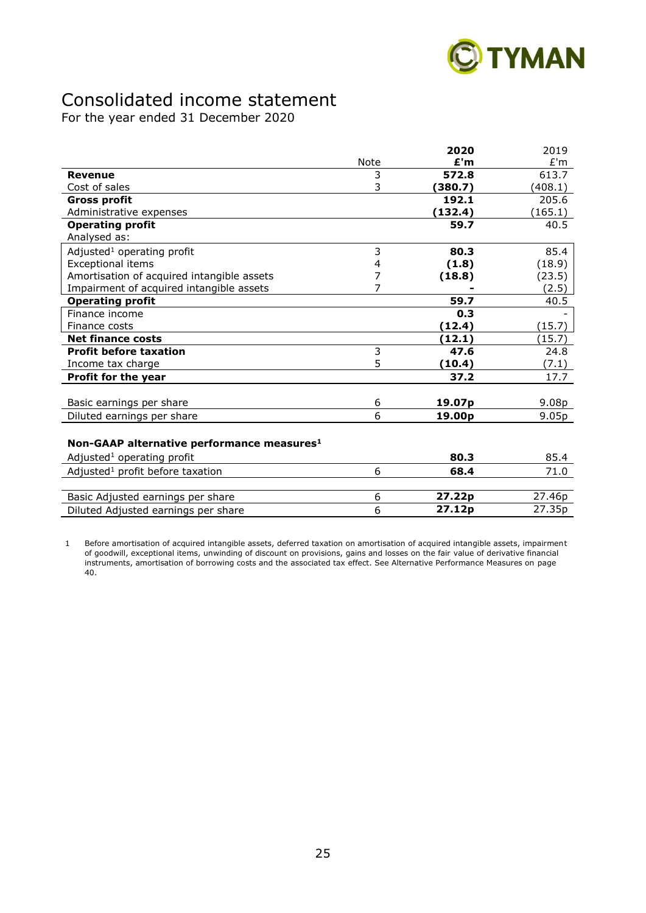

# Consolidated income statement

For the year ended 31 December 2020

|                                                        |      | 2020               | 2019    |
|--------------------------------------------------------|------|--------------------|---------|
|                                                        | Note | £'m                | £'m     |
| <b>Revenue</b>                                         | 3    | 572.8              | 613.7   |
| Cost of sales                                          | 3    | (380.7)            | (408.1) |
| <b>Gross profit</b>                                    |      | 192.1              | 205.6   |
| Administrative expenses                                |      | (132.4)            | (165.1) |
| <b>Operating profit</b>                                |      | 59.7               | 40.5    |
| Analysed as:                                           |      |                    |         |
| Adjusted <sup>1</sup> operating profit                 | 3    | 80.3               | 85.4    |
| <b>Exceptional items</b>                               | 4    | (1.8)              | (18.9)  |
| Amortisation of acquired intangible assets             | 7    | (18.8)             | (23.5)  |
| Impairment of acquired intangible assets               | 7    |                    | (2.5)   |
| <b>Operating profit</b>                                |      | 59.7               | 40.5    |
| Finance income                                         |      | 0.3                |         |
| Finance costs                                          |      | (12.4)             | (15.7)  |
| <b>Net finance costs</b>                               |      | (12.1)             | (15.7)  |
| <b>Profit before taxation</b>                          | 3    | 47.6               | 24.8    |
| Income tax charge                                      | 5    | (10.4)             | (7.1)   |
| Profit for the year                                    |      | 37.2               | 17.7    |
|                                                        |      |                    |         |
| Basic earnings per share                               | 6    | 19.07 <sub>p</sub> | 9.08p   |
| Diluted earnings per share                             | 6    | 19.00p             | 9.05p   |
|                                                        |      |                    |         |
| Non-GAAP alternative performance measures <sup>1</sup> |      |                    |         |
| Adjusted <sup>1</sup> operating profit                 |      | 80.3               | 85.4    |
| Adjusted <sup>1</sup> profit before taxation           | 6    | 68.4               | 71.0    |

| .                                   | ------             | .      |
|-------------------------------------|--------------------|--------|
|                                     |                    |        |
| Basic Adjusted earnings per share   | 27.22 <sub>D</sub> | 27.46p |
| Diluted Adjusted earnings per share | 27.12 <sub>p</sub> | 27.35p |
|                                     |                    |        |

1 Before amortisation of acquired intangible assets, deferred taxation on amortisation of acquired intangible assets, impairment of goodwill, exceptional items, unwinding of discount on provisions, gains and losses on the fair value of derivative financial instruments, amortisation of borrowing costs and the associated tax effect. See Alternative Performance Measures on page 40.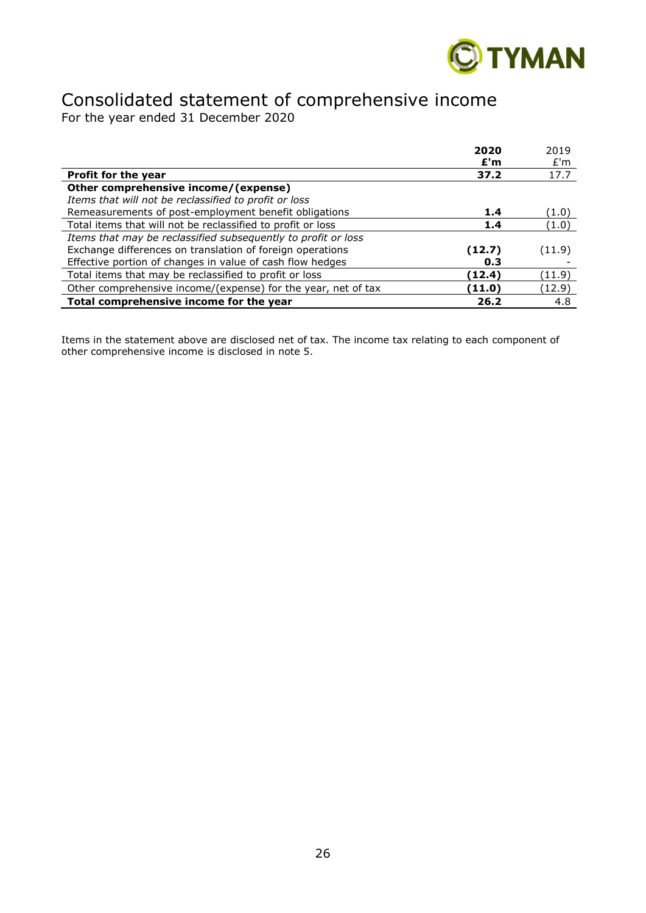

# Consolidated statement of comprehensive income

For the year ended 31 December 2020

|                                                               | 2020   | 2019   |
|---------------------------------------------------------------|--------|--------|
|                                                               | £'m    | £'m    |
| <b>Profit for the year</b>                                    | 37.2   | 17.7   |
| Other comprehensive income/(expense)                          |        |        |
| Items that will not be reclassified to profit or loss         |        |        |
| Remeasurements of post-employment benefit obligations         | 1.4    | (1.0)  |
| Total items that will not be reclassified to profit or loss   | 1.4    | (1.0)  |
| Items that may be reclassified subsequently to profit or loss |        |        |
| Exchange differences on translation of foreign operations     | (12.7) | (11.9) |
| Effective portion of changes in value of cash flow hedges     | 0.3    |        |
| Total items that may be reclassified to profit or loss        | (12.4) | (11.9) |
| Other comprehensive income/(expense) for the year, net of tax | (11.0) | (12.9) |
| Total comprehensive income for the year                       | 26.2   | 4.8    |

Items in the statement above are disclosed net of tax. The income tax relating to each component of other comprehensive income is disclosed in note 5.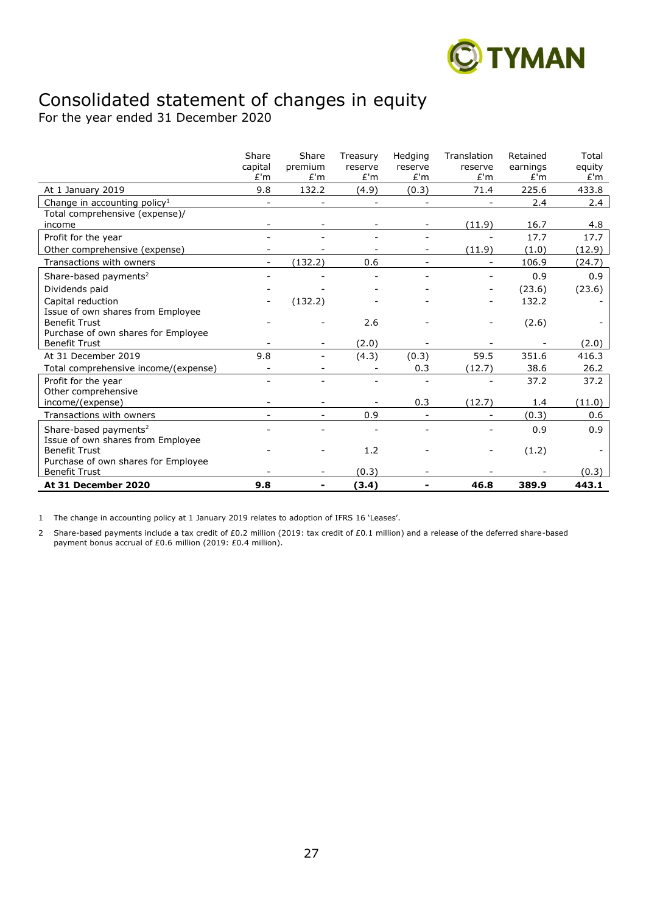

# Consolidated statement of changes in equity

For the year ended 31 December 2020

|                                          | Share<br>capital         | Share<br>premium         | Treasury<br>reserve      | Hedging<br>reserve | Translation<br>reserve   | Retained<br>earnings | Total<br>equity |
|------------------------------------------|--------------------------|--------------------------|--------------------------|--------------------|--------------------------|----------------------|-----------------|
|                                          | E'm                      | E'm                      | E'm                      | E'm                | E'm                      | E'm                  | E'm             |
| At 1 January 2019                        | 9.8                      | 132.2                    | (4.9)                    | (0.3)              | 71.4                     | 225.6                | 433.8           |
| Change in accounting policy <sup>1</sup> |                          |                          |                          |                    |                          | 2.4                  | 2.4             |
| Total comprehensive (expense)/           |                          |                          |                          |                    |                          |                      |                 |
| income                                   |                          | $\overline{\phantom{a}}$ | $\overline{\phantom{a}}$ |                    | (11.9)                   | 16.7                 | 4.8             |
| Profit for the year                      |                          |                          |                          |                    |                          | 17.7                 | 17.7            |
| Other comprehensive (expense)            |                          |                          |                          |                    | (11.9)                   | (1.0)                | (12.9)          |
| Transactions with owners                 | $\overline{\phantom{a}}$ | (132.2)                  | 0.6                      |                    |                          | 106.9                | (24.7)          |
| Share-based payments <sup>2</sup>        |                          |                          |                          |                    |                          | 0.9                  | 0.9             |
| Dividends paid                           |                          |                          |                          |                    | $\overline{\phantom{0}}$ | (23.6)               | (23.6)          |
| Capital reduction                        |                          | (132.2)                  |                          |                    |                          | 132.2                |                 |
| Issue of own shares from Employee        |                          |                          |                          |                    |                          |                      |                 |
| <b>Benefit Trust</b>                     |                          |                          | 2.6                      |                    |                          | (2.6)                |                 |
| Purchase of own shares for Employee      |                          |                          |                          |                    |                          |                      |                 |
| <b>Benefit Trust</b>                     |                          | $\overline{\phantom{0}}$ | (2.0)                    |                    |                          |                      | (2.0)           |
| At 31 December 2019                      | 9.8                      |                          | (4.3)                    | (0.3)              | 59.5                     | 351.6                | 416.3           |
| Total comprehensive income/(expense)     |                          |                          |                          | 0.3                | (12.7)                   | 38.6                 | 26.2            |
| Profit for the year                      | $\overline{\phantom{0}}$ |                          |                          |                    |                          | 37.2                 | 37.2            |
| Other comprehensive                      |                          |                          |                          |                    |                          |                      |                 |
| income/(expense)                         |                          |                          |                          | 0.3                | (12.7)                   | 1.4                  | (11.0)          |
| Transactions with owners                 |                          | $\sim$                   | 0.9                      |                    |                          | (0.3)                | 0.6             |
| Share-based payments <sup>2</sup>        |                          |                          |                          |                    |                          | 0.9                  | 0.9             |
| Issue of own shares from Employee        |                          |                          |                          |                    |                          |                      |                 |
| <b>Benefit Trust</b>                     |                          |                          | 1.2                      |                    |                          | (1.2)                |                 |
| Purchase of own shares for Employee      |                          |                          |                          |                    |                          |                      |                 |
| <b>Benefit Trust</b>                     |                          |                          | (0.3)                    |                    |                          |                      | (0.3)           |
| At 31 December 2020                      | 9.8                      |                          | (3.4)                    |                    | 46.8                     | 389.9                | 443.1           |

1 The change in accounting policy at 1 January 2019 relates to adoption of IFRS 16 'Leases'.

2 Share-based payments include a tax credit of £0.2 million (2019: tax credit of £0.1 million) and a release of the deferred share-based payment bonus accrual of £0.6 million (2019: £0.4 million).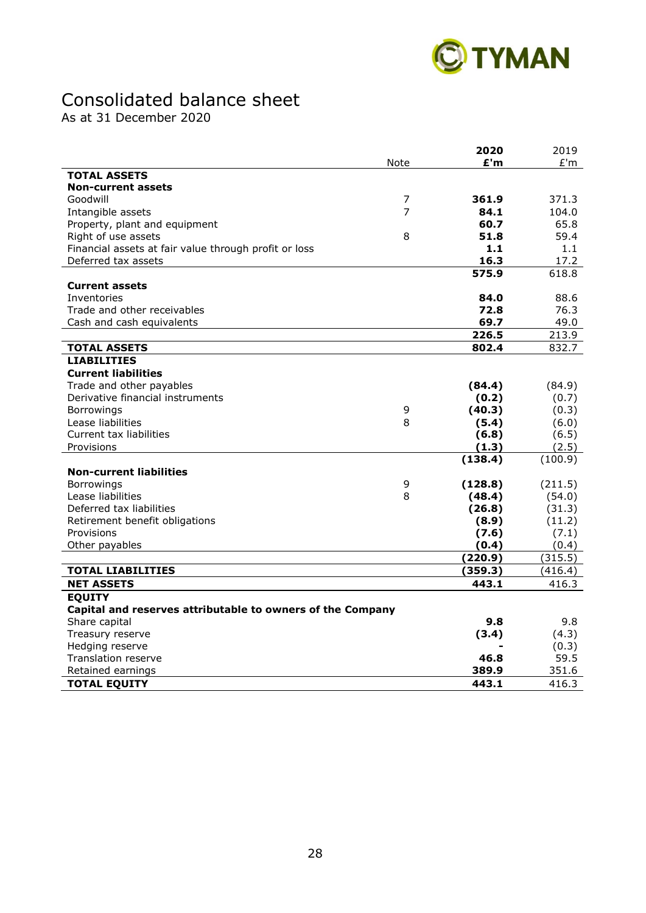

# Consolidated balance sheet

As at 31 December 2020

|                                                            |                | 2020    | 2019    |
|------------------------------------------------------------|----------------|---------|---------|
|                                                            | Note           | £'m     | E'm     |
| <b>TOTAL ASSETS</b>                                        |                |         |         |
| <b>Non-current assets</b>                                  |                |         |         |
| Goodwill                                                   | $\overline{7}$ | 361.9   | 371.3   |
| Intangible assets                                          | 7              | 84.1    | 104.0   |
| Property, plant and equipment                              |                | 60.7    | 65.8    |
| Right of use assets                                        | 8              | 51.8    | 59.4    |
| Financial assets at fair value through profit or loss      |                | 1.1     | 1.1     |
| Deferred tax assets                                        |                | 16.3    | 17.2    |
|                                                            |                | 575.9   | 618.8   |
| <b>Current assets</b>                                      |                |         |         |
| Inventories                                                |                | 84.0    | 88.6    |
| Trade and other receivables                                |                | 72.8    | 76.3    |
| Cash and cash equivalents                                  |                | 69.7    | 49.0    |
|                                                            |                | 226.5   | 213.9   |
| <b>TOTAL ASSETS</b>                                        |                | 802.4   | 832.7   |
| <b>LIABILITIES</b>                                         |                |         |         |
| <b>Current liabilities</b>                                 |                |         |         |
| Trade and other payables                                   |                | (84.4)  | (84.9)  |
| Derivative financial instruments                           |                | (0.2)   | (0.7)   |
| Borrowings                                                 | 9              | (40.3)  | (0.3)   |
| Lease liabilities                                          | 8              | (5.4)   | (6.0)   |
| <b>Current tax liabilities</b>                             |                | (6.8)   | (6.5)   |
| Provisions                                                 |                | (1.3)   | (2.5)   |
|                                                            |                | (138.4) | (100.9) |
| <b>Non-current liabilities</b>                             |                |         |         |
| <b>Borrowings</b>                                          | 9              | (128.8) | (211.5) |
| Lease liabilities                                          | 8              | (48.4)  | (54.0)  |
| Deferred tax liabilities                                   |                | (26.8)  | (31.3)  |
| Retirement benefit obligations                             |                | (8.9)   | (11.2)  |
| Provisions                                                 |                | (7.6)   | (7.1)   |
| Other payables                                             |                | (0.4)   | (0.4)   |
|                                                            |                | (220.9) | (315.5) |
| <b>TOTAL LIABILITIES</b>                                   |                | (359.3) | (416.4) |
| <b>NET ASSETS</b>                                          |                | 443.1   | 416.3   |
| <b>EQUITY</b>                                              |                |         |         |
| Capital and reserves attributable to owners of the Company |                |         |         |
| Share capital                                              |                | 9.8     | 9.8     |
| Treasury reserve                                           |                | (3.4)   | (4.3)   |
| Hedging reserve                                            |                |         | (0.3)   |
| <b>Translation reserve</b>                                 |                | 46.8    | 59.5    |
| Retained earnings                                          |                | 389.9   | 351.6   |
| <b>TOTAL EQUITY</b>                                        |                | 443.1   | 416.3   |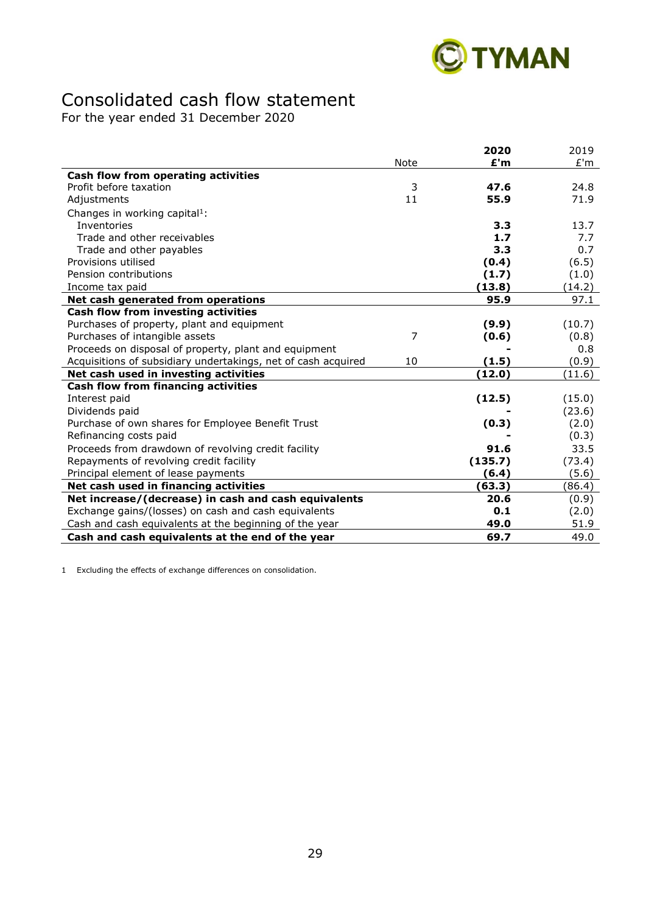

# Consolidated cash flow statement

For the year ended 31 December 2020

|                                                               |      | 2020    | 2019   |
|---------------------------------------------------------------|------|---------|--------|
|                                                               | Note | £'m     | E'm    |
| Cash flow from operating activities                           |      |         |        |
| Profit before taxation                                        | 3    | 47.6    | 24.8   |
| Adjustments                                                   | 11   | 55.9    | 71.9   |
| Changes in working capital <sup>1</sup> :                     |      |         |        |
| <b>Inventories</b>                                            |      | 3.3     | 13.7   |
| Trade and other receivables                                   |      | 1.7     | 7.7    |
| Trade and other payables                                      |      | 3.3     | 0.7    |
| Provisions utilised                                           |      | (0.4)   | (6.5)  |
| Pension contributions                                         |      | (1.7)   | (1.0)  |
| Income tax paid                                               |      | (13.8)  | (14.2) |
| Net cash generated from operations                            |      | 95.9    | 97.1   |
| Cash flow from investing activities                           |      |         |        |
| Purchases of property, plant and equipment                    |      | (9.9)   | (10.7) |
| Purchases of intangible assets                                | 7    | (0.6)   | (0.8)  |
| Proceeds on disposal of property, plant and equipment         |      |         | 0.8    |
| Acquisitions of subsidiary undertakings, net of cash acquired | 10   | (1.5)   | (0.9)  |
| Net cash used in investing activities                         |      | (12.0)  | (11.6) |
| <b>Cash flow from financing activities</b>                    |      |         |        |
| Interest paid                                                 |      | (12.5)  | (15.0) |
| Dividends paid                                                |      |         | (23.6) |
| Purchase of own shares for Employee Benefit Trust             |      | (0.3)   | (2.0)  |
| Refinancing costs paid                                        |      |         | (0.3)  |
| Proceeds from drawdown of revolving credit facility           |      | 91.6    | 33.5   |
| Repayments of revolving credit facility                       |      | (135.7) | (73.4) |
| Principal element of lease payments                           |      | (6.4)   | (5.6)  |
| Net cash used in financing activities                         |      | (63.3)  | (86.4) |
| Net increase/(decrease) in cash and cash equivalents          |      | 20.6    | (0.9)  |
| Exchange gains/(losses) on cash and cash equivalents          |      | 0.1     | (2.0)  |
| Cash and cash equivalents at the beginning of the year        |      | 49.0    | 51.9   |
| Cash and cash equivalents at the end of the year              |      | 69.7    | 49.0   |

1 Excluding the effects of exchange differences on consolidation.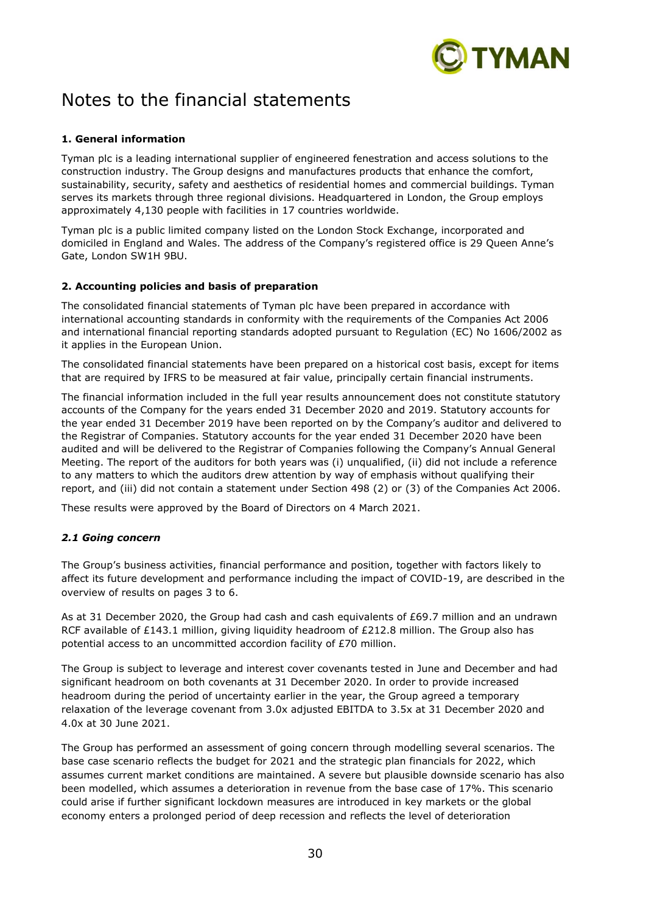

# Notes to the financial statements

## **1. General information**

Tyman plc is a leading international supplier of engineered fenestration and access solutions to the construction industry. The Group designs and manufactures products that enhance the comfort, sustainability, security, safety and aesthetics of residential homes and commercial buildings. Tyman serves its markets through three regional divisions. Headquartered in London, the Group employs approximately 4,130 people with facilities in 17 countries worldwide.

Tyman plc is a public limited company listed on the London Stock Exchange, incorporated and domiciled in England and Wales. The address of the Company's registered office is 29 Queen Anne's Gate, London SW1H 9BU.

## **2. Accounting policies and basis of preparation**

The consolidated financial statements of Tyman plc have been prepared in accordance with international accounting standards in conformity with the requirements of the Companies Act 2006 and international financial reporting standards adopted pursuant to Regulation (EC) No 1606/2002 as it applies in the European Union.

The consolidated financial statements have been prepared on a historical cost basis, except for items that are required by IFRS to be measured at fair value, principally certain financial instruments.

The financial information included in the full year results announcement does not constitute statutory accounts of the Company for the years ended 31 December 2020 and 2019. Statutory accounts for the year ended 31 December 2019 have been reported on by the Company's auditor and delivered to the Registrar of Companies. Statutory accounts for the year ended 31 December 2020 have been audited and will be delivered to the Registrar of Companies following the Company's Annual General Meeting. The report of the auditors for both years was (i) unqualified, (ii) did not include a reference to any matters to which the auditors drew attention by way of emphasis without qualifying their report, and (iii) did not contain a statement under Section 498 (2) or (3) of the Companies Act 2006.

These results were approved by the Board of Directors on 4 March 2021.

## *2.1 Going concern*

The Group's business activities, financial performance and position, together with factors likely to affect its future development and performance including the impact of COVID-19, are described in the overview of results on pages 3 to 6.

As at 31 December 2020, the Group had cash and cash equivalents of £69.7 million and an undrawn RCF available of £143.1 million, giving liquidity headroom of £212.8 million. The Group also has potential access to an uncommitted accordion facility of £70 million.

The Group is subject to leverage and interest cover covenants tested in June and December and had significant headroom on both covenants at 31 December 2020. In order to provide increased headroom during the period of uncertainty earlier in the year, the Group agreed a temporary relaxation of the leverage covenant from 3.0x adjusted EBITDA to 3.5x at 31 December 2020 and 4.0x at 30 June 2021.

The Group has performed an assessment of going concern through modelling several scenarios. The base case scenario reflects the budget for 2021 and the strategic plan financials for 2022, which assumes current market conditions are maintained. A severe but plausible downside scenario has also been modelled, which assumes a deterioration in revenue from the base case of 17%. This scenario could arise if further significant lockdown measures are introduced in key markets or the global economy enters a prolonged period of deep recession and reflects the level of deterioration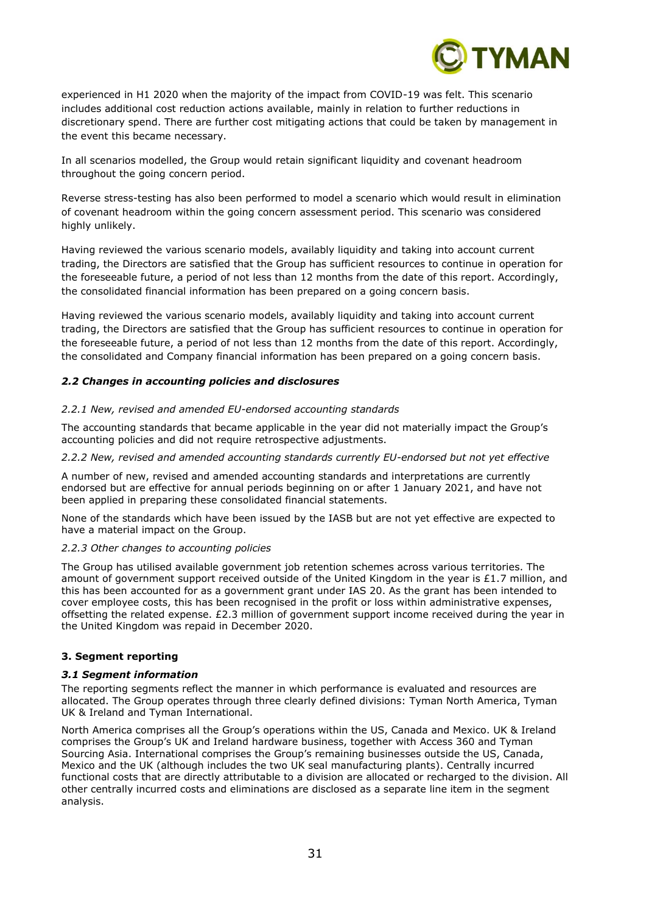

experienced in H1 2020 when the majority of the impact from COVID-19 was felt. This scenario includes additional cost reduction actions available, mainly in relation to further reductions in discretionary spend. There are further cost mitigating actions that could be taken by management in the event this became necessary.

In all scenarios modelled, the Group would retain significant liquidity and covenant headroom throughout the going concern period.

Reverse stress-testing has also been performed to model a scenario which would result in elimination of covenant headroom within the going concern assessment period. This scenario was considered highly unlikely.

Having reviewed the various scenario models, availably liquidity and taking into account current trading, the Directors are satisfied that the Group has sufficient resources to continue in operation for the foreseeable future, a period of not less than 12 months from the date of this report. Accordingly, the consolidated financial information has been prepared on a going concern basis.

Having reviewed the various scenario models, availably liquidity and taking into account current trading, the Directors are satisfied that the Group has sufficient resources to continue in operation for the foreseeable future, a period of not less than 12 months from the date of this report. Accordingly, the consolidated and Company financial information has been prepared on a going concern basis.

#### *2.2 Changes in accounting policies and disclosures*

#### *2.2.1 New, revised and amended EU-endorsed accounting standards*

The accounting standards that became applicable in the year did not materially impact the Group's accounting policies and did not require retrospective adjustments.

#### *2.2.2 New, revised and amended accounting standards currently EU-endorsed but not yet effective*

A number of new, revised and amended accounting standards and interpretations are currently endorsed but are effective for annual periods beginning on or after 1 January 2021, and have not been applied in preparing these consolidated financial statements.

None of the standards which have been issued by the IASB but are not yet effective are expected to have a material impact on the Group.

#### *2.2.3 Other changes to accounting policies*

The Group has utilised available government job retention schemes across various territories. The amount of government support received outside of the United Kingdom in the year is £1.7 million, and this has been accounted for as a government grant under IAS 20. As the grant has been intended to cover employee costs, this has been recognised in the profit or loss within administrative expenses, offsetting the related expense. £2.3 million of government support income received during the year in the United Kingdom was repaid in December 2020.

#### **3. Segment reporting**

#### *3.1 Segment information*

The reporting segments reflect the manner in which performance is evaluated and resources are allocated. The Group operates through three clearly defined divisions: Tyman North America, Tyman UK & Ireland and Tyman International.

North America comprises all the Group's operations within the US, Canada and Mexico. UK & Ireland comprises the Group's UK and Ireland hardware business, together with Access 360 and Tyman Sourcing Asia. International comprises the Group's remaining businesses outside the US, Canada, Mexico and the UK (although includes the two UK seal manufacturing plants). Centrally incurred functional costs that are directly attributable to a division are allocated or recharged to the division. All other centrally incurred costs and eliminations are disclosed as a separate line item in the segment analysis.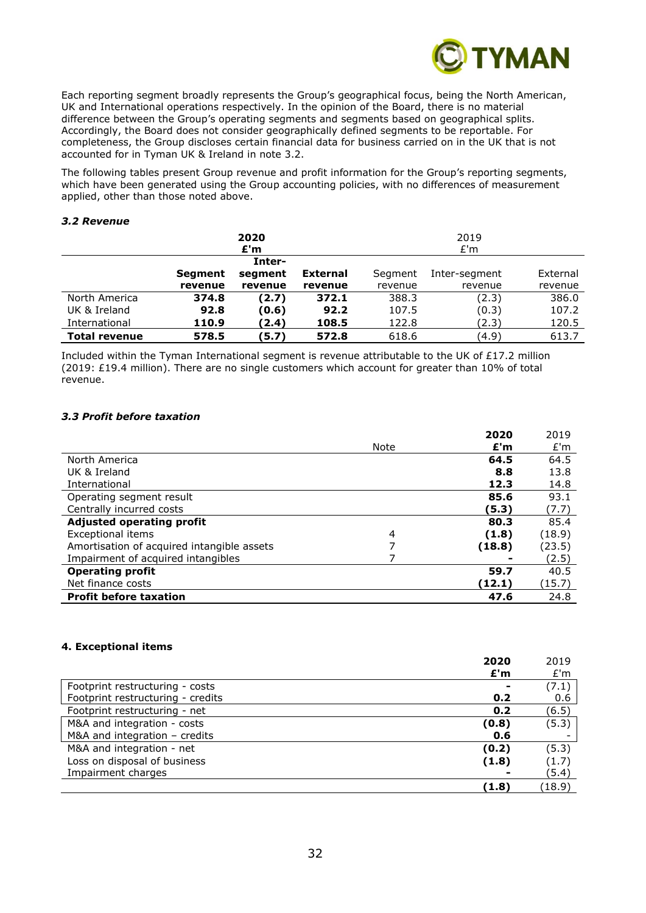

Each reporting segment broadly represents the Group's geographical focus, being the North American, UK and International operations respectively. In the opinion of the Board, there is no material difference between the Group's operating segments and segments based on geographical splits. Accordingly, the Board does not consider geographically defined segments to be reportable. For completeness, the Group discloses certain financial data for business carried on in the UK that is not accounted for in Tyman UK & Ireland in note 3.2.

The following tables present Group revenue and profit information for the Group's reporting segments, which have been generated using the Group accounting policies, with no differences of measurement applied, other than those noted above.

#### *3.2 Revenue*

|                      |                | 2020    |                 | 2019    |               |          |
|----------------------|----------------|---------|-----------------|---------|---------------|----------|
|                      |                | £'m     |                 | £'m     |               |          |
|                      |                | Inter-  |                 |         |               |          |
|                      | <b>Segment</b> | segment | <b>External</b> | Segment | Inter-segment | External |
|                      | revenue        | revenue | revenue         | revenue | revenue       | revenue  |
| North America        | 374.8          | (2.7)   | 372.1           | 388.3   | (2.3)         | 386.0    |
| UK & Ireland         | 92.8           | (0.6)   | 92.2            | 107.5   | (0.3)         | 107.2    |
| International        | 110.9          | (2.4)   | 108.5           | 122.8   | (2.3)         | 120.5    |
| <b>Total revenue</b> | 578.5          | (5.7)   | 572.8           | 618.6   | (4.9)         | 613.7    |

Included within the Tyman International segment is revenue attributable to the UK of £17.2 million (2019: £19.4 million). There are no single customers which account for greater than 10% of total revenue.

#### *3.3 Profit before taxation*

|                                            |                | 2020   | 2019   |
|--------------------------------------------|----------------|--------|--------|
|                                            | Note           | E'm    | E'm    |
| North America                              |                | 64.5   | 64.5   |
| UK & Ireland                               |                | 8.8    | 13.8   |
| International                              |                | 12.3   | 14.8   |
| Operating segment result                   |                | 85.6   | 93.1   |
| Centrally incurred costs                   |                | (5.3)  | (7.7)  |
| <b>Adjusted operating profit</b>           |                | 80.3   | 85.4   |
| <b>Exceptional items</b>                   | $\overline{4}$ | (1.8)  | (18.9) |
| Amortisation of acquired intangible assets | 7              | (18.8) | (23.5) |
| Impairment of acquired intangibles         |                |        | (2.5)  |
| <b>Operating profit</b>                    |                | 59.7   | 40.5   |
| Net finance costs                          |                | (12.1) | (15.7) |
| <b>Profit before taxation</b>              |                | 47.6   | 24.8   |

## **4. Exceptional items**

| 2020                                     | 2019   |
|------------------------------------------|--------|
| E'm                                      | E'm    |
| Footprint restructuring - costs          | (7.1)  |
| Footprint restructuring - credits<br>0.2 | 0.6    |
| Footprint restructuring - net<br>0.2     | (6.5)  |
| M&A and integration - costs<br>(0.8)     | (5.3)  |
| M&A and integration $-$ credits<br>0.6   |        |
| M&A and integration - net<br>(0.2)       | (5.3)  |
| Loss on disposal of business<br>(1.8)    | (1.7)  |
| Impairment charges                       | (5.4)  |
| (1.8)                                    | (18.9) |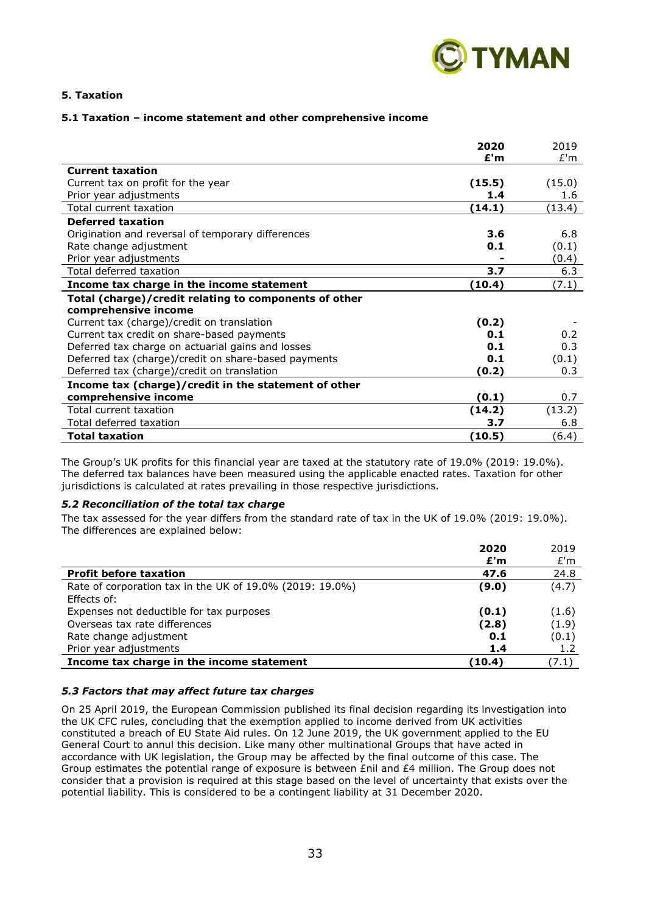

## **5. Taxation**

#### **5.1 Taxation – income statement and other comprehensive income**

|                                                       | 2020   | 2019   |
|-------------------------------------------------------|--------|--------|
|                                                       | £'m    | E'm    |
| <b>Current taxation</b>                               |        |        |
| Current tax on profit for the year                    | (15.5) | (15.0) |
| Prior year adjustments                                | 1.4    | 1.6    |
| Total current taxation                                | (14.1) | (13.4) |
| <b>Deferred taxation</b>                              |        |        |
| Origination and reversal of temporary differences     | 3.6    | 6.8    |
| Rate change adjustment                                | 0.1    | (0.1)  |
| Prior year adjustments                                |        | (0.4)  |
| Total deferred taxation                               | 3.7    | 6.3    |
| Income tax charge in the income statement             | (10.4) | (7.1)  |
| Total (charge)/credit relating to components of other |        |        |
| comprehensive income                                  |        |        |
| Current tax (charge)/credit on translation            | (0.2)  |        |
| Current tax credit on share-based payments            | 0.1    | 0.2    |
| Deferred tax charge on actuarial gains and losses     | 0.1    | 0.3    |
| Deferred tax (charge)/credit on share-based payments  | 0.1    | (0.1)  |
| Deferred tax (charge)/credit on translation           | (0.2)  | 0.3    |
| Income tax (charge)/credit in the statement of other  |        |        |
| comprehensive income                                  | (0.1)  | 0.7    |
| Total current taxation                                | (14.2) | (13.2) |
| Total deferred taxation                               | 3.7    | 6.8    |
| <b>Total taxation</b>                                 | (10.5) | (6.4)  |

The Group's UK profits for this financial year are taxed at the statutory rate of 19.0% (2019: 19.0%). The deferred tax balances have been measured using the applicable enacted rates. Taxation for other jurisdictions is calculated at rates prevailing in those respective jurisdictions.

#### *5.2 Reconciliation of the total tax charge*

The tax assessed for the year differs from the standard rate of tax in the UK of 19.0% (2019: 19.0%). The differences are explained below:

|                                                          | 2020   | 2019  |
|----------------------------------------------------------|--------|-------|
|                                                          | £'m    | E'm   |
| <b>Profit before taxation</b>                            | 47.6   | 24.8  |
| Rate of corporation tax in the UK of 19.0% (2019: 19.0%) | (9.0)  | (4.7) |
| Effects of:                                              |        |       |
| Expenses not deductible for tax purposes                 | (0.1)  | (1.6) |
| Overseas tax rate differences                            | (2.8)  | (1.9) |
| Rate change adjustment                                   | 0.1    | (0.1) |
| Prior year adjustments                                   | 1.4    | 1.2   |
| Income tax charge in the income statement                | (10.4) | (7.1) |

#### *5.3 Factors that may affect future tax charges*

On 25 April 2019, the European Commission published its final decision regarding its investigation into the UK CFC rules, concluding that the exemption applied to income derived from UK activities constituted a breach of EU State Aid rules. On 12 June 2019, the UK government applied to the EU General Court to annul this decision. Like many other multinational Groups that have acted in accordance with UK legislation, the Group may be affected by the final outcome of this case. The Group estimates the potential range of exposure is between £nil and £4 million. The Group does not consider that a provision is required at this stage based on the level of uncertainty that exists over the potential liability. This is considered to be a contingent liability at 31 December 2020.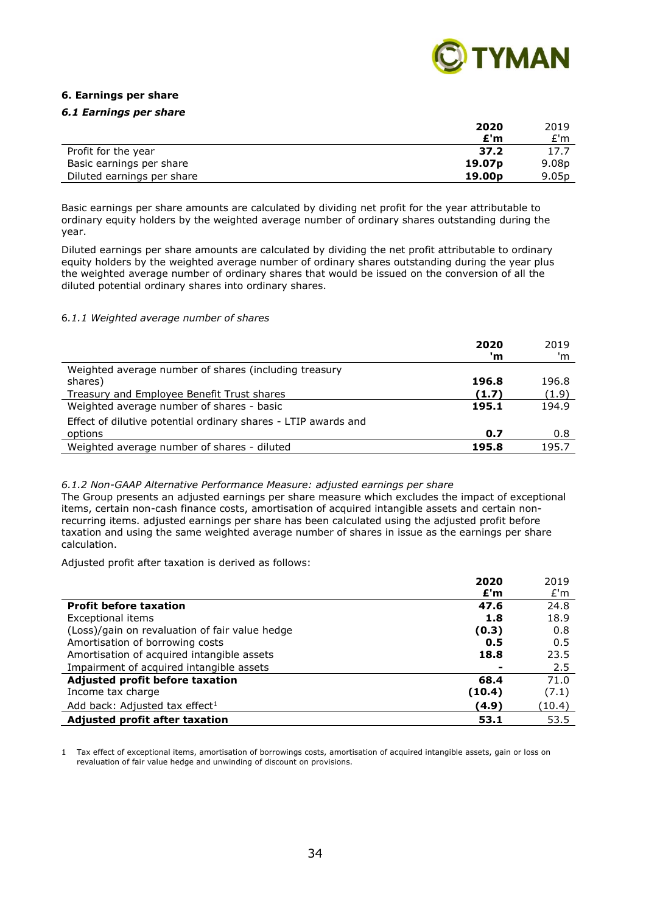

## **6. Earnings per share**

#### *6.1 Earnings per share*

|                            | 2020               | 2019              |
|----------------------------|--------------------|-------------------|
|                            | £'m                | £'m               |
| Profit for the year        | 37.2               | 17.7              |
| Basic earnings per share   | 19.07 <sub>p</sub> | 9.08p             |
| Diluted earnings per share | 19.00 <sub>p</sub> | 9.05 <sub>p</sub> |

Basic earnings per share amounts are calculated by dividing net profit for the year attributable to ordinary equity holders by the weighted average number of ordinary shares outstanding during the year.

Diluted earnings per share amounts are calculated by dividing the net profit attributable to ordinary equity holders by the weighted average number of ordinary shares outstanding during the year plus the weighted average number of ordinary shares that would be issued on the conversion of all the diluted potential ordinary shares into ordinary shares.

#### 6*.1.1 Weighted average number of shares*

|                                                                | 2020<br>'m | 2019<br>'m |
|----------------------------------------------------------------|------------|------------|
| Weighted average number of shares (including treasury          |            |            |
| shares)                                                        | 196.8      | 196.8      |
| Treasury and Employee Benefit Trust shares                     | (1.7)      | (1.9)      |
| Weighted average number of shares - basic                      | 195.1      | 194.9      |
| Effect of dilutive potential ordinary shares - LTIP awards and |            |            |
| options                                                        | 0.7        | 0.8        |
| Weighted average number of shares - diluted                    | 195.8      | 195.7      |

#### *6.1.2 Non-GAAP Alternative Performance Measure: adjusted earnings per share*

The Group presents an adjusted earnings per share measure which excludes the impact of exceptional items, certain non-cash finance costs, amortisation of acquired intangible assets and certain nonrecurring items. adjusted earnings per share has been calculated using the adjusted profit before taxation and using the same weighted average number of shares in issue as the earnings per share calculation.

Adjusted profit after taxation is derived as follows:

|                                                | 2020   | 2019   |
|------------------------------------------------|--------|--------|
|                                                | E'm    | E'm    |
| <b>Profit before taxation</b>                  | 47.6   | 24.8   |
| Exceptional items                              | 1.8    | 18.9   |
| (Loss)/gain on revaluation of fair value hedge | (0.3)  | 0.8    |
| Amortisation of borrowing costs                | 0.5    | 0.5    |
| Amortisation of acquired intangible assets     | 18.8   | 23.5   |
| Impairment of acquired intangible assets       |        | 2.5    |
| Adjusted profit before taxation                | 68.4   | 71.0   |
| Income tax charge                              | (10.4) | (7.1)  |
| Add back: Adjusted tax effect <sup>1</sup>     | (4.9)  | (10.4) |
| <b>Adjusted profit after taxation</b>          | 53.1   | 53.5   |

1 Tax effect of exceptional items, amortisation of borrowings costs, amortisation of acquired intangible assets, gain or loss on revaluation of fair value hedge and unwinding of discount on provisions.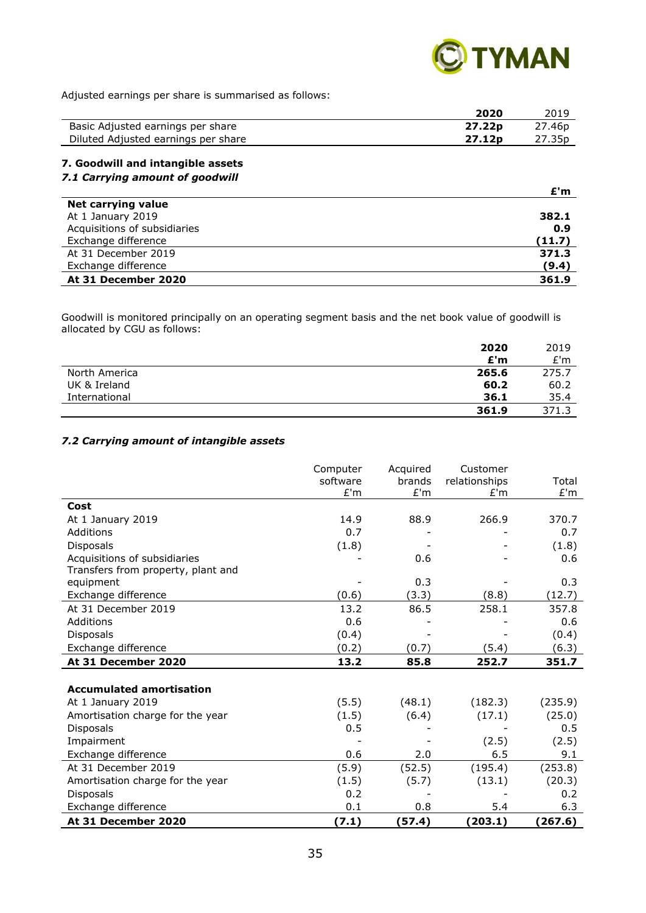

Adjusted earnings per share is summarised as follows:

|                                     | 2020               | 2019               |
|-------------------------------------|--------------------|--------------------|
| Basic Adjusted earnings per share   | 27.22p             | 27.46 <sub>p</sub> |
| Diluted Adjusted earnings per share | 27.12 <sub>p</sub> | 27.35p             |
|                                     |                    |                    |

## **7. Goodwill and intangible assets** *7.1 Carrying amount of goodwill*

|                              | £'m    |
|------------------------------|--------|
| Net carrying value           |        |
| At 1 January 2019            | 382.1  |
| Acquisitions of subsidiaries | 0.9    |
| Exchange difference          | (11.7) |
| At 31 December 2019          | 371.3  |
| Exchange difference          | (9.4)  |
| At 31 December 2020          | 361.9  |

Goodwill is monitored principally on an operating segment basis and the net book value of goodwill is allocated by CGU as follows:

|               | 2020  | 2019  |
|---------------|-------|-------|
|               | E'm   | E'm   |
| North America | 265.6 | 275.7 |
| UK & Ireland  | 60.2  | 60.2  |
| International | 36.1  | 35.4  |
|               | 361.9 | 371.3 |

#### *7.2 Carrying amount of intangible assets*

|                                    | Computer<br>software<br>E'm | Acquired<br>brands<br>E'm | Customer<br>relationships<br>E'm | Total<br>E'm |
|------------------------------------|-----------------------------|---------------------------|----------------------------------|--------------|
| Cost                               |                             |                           |                                  |              |
| At 1 January 2019                  | 14.9                        | 88.9                      | 266.9                            | 370.7        |
| Additions                          | 0.7                         |                           |                                  | 0.7          |
| <b>Disposals</b>                   | (1.8)                       |                           |                                  | (1.8)        |
| Acquisitions of subsidiaries       |                             | 0.6                       |                                  | 0.6          |
| Transfers from property, plant and |                             |                           |                                  |              |
| equipment                          |                             | 0.3                       |                                  | 0.3          |
| Exchange difference                | (0.6)                       | (3.3)                     | (8.8)                            | (12.7)       |
| At 31 December 2019                | 13.2                        | 86.5                      | 258.1                            | 357.8        |
| Additions                          | 0.6                         |                           |                                  | 0.6          |
| <b>Disposals</b>                   | (0.4)                       |                           |                                  | (0.4)        |
| Exchange difference                | (0.2)                       | (0.7)                     | (5.4)                            | (6.3)        |
| At 31 December 2020                | 13.2                        | 85.8                      | 252.7                            | 351.7        |
|                                    |                             |                           |                                  |              |
| <b>Accumulated amortisation</b>    |                             |                           |                                  |              |
| At 1 January 2019                  | (5.5)                       | (48.1)                    | (182.3)                          | (235.9)      |
| Amortisation charge for the year   | (1.5)                       | (6.4)                     | (17.1)                           | (25.0)       |
| <b>Disposals</b>                   | 0.5                         |                           |                                  | 0.5          |
| Impairment                         |                             |                           | (2.5)                            | (2.5)        |
| Exchange difference                | 0.6                         | 2.0                       | 6.5                              | 9.1          |
| At 31 December 2019                | (5.9)                       | (52.5)                    | (195.4)                          | (253.8)      |
| Amortisation charge for the year   | (1.5)                       | (5.7)                     | (13.1)                           | (20.3)       |
| <b>Disposals</b>                   | 0.2                         |                           |                                  | 0.2          |
| Exchange difference                | 0.1                         | 0.8                       | 5.4                              | 6.3          |
| At 31 December 2020                | (7.1)                       | (57.4)                    | (203.1)                          | (267.6)      |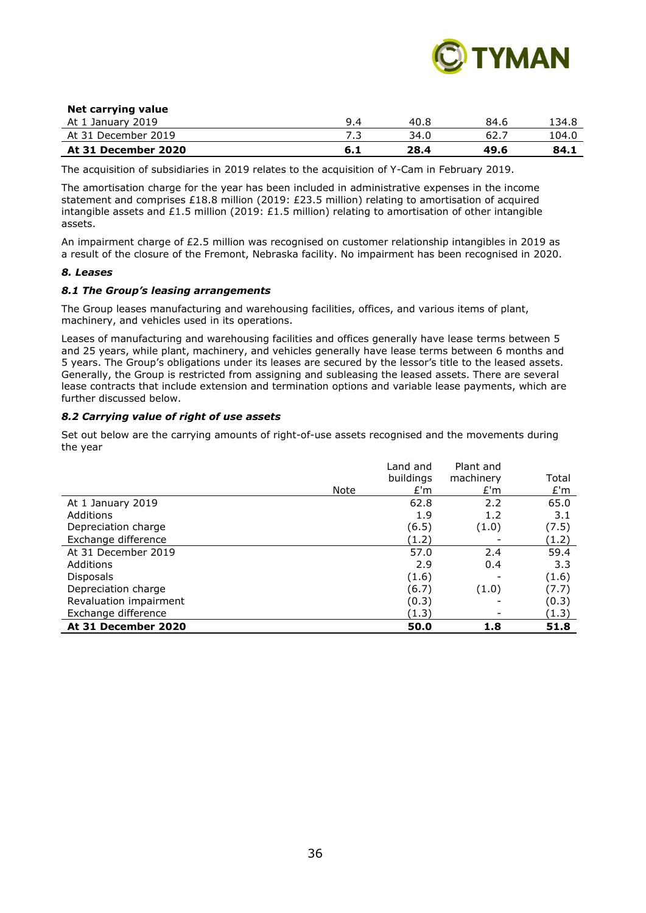

#### **Net carrying value**

| 2019<br>At 1 January <sup>-</sup> |      | 40.8 | 84.6 | 34.8ء |
|-----------------------------------|------|------|------|-------|
| At 31 December 2019               | ر .  | 34.C | 62.7 | 04.0⊥ |
| At 31 December 2020               | 0. L | 28.4 | 49.6 | 84.1  |

The acquisition of subsidiaries in 2019 relates to the acquisition of Y-Cam in February 2019.

The amortisation charge for the year has been included in administrative expenses in the income statement and comprises £18.8 million (2019: £23.5 million) relating to amortisation of acquired intangible assets and £1.5 million (2019: £1.5 million) relating to amortisation of other intangible assets.

An impairment charge of £2.5 million was recognised on customer relationship intangibles in 2019 as a result of the closure of the Fremont, Nebraska facility. No impairment has been recognised in 2020.

#### *8. Leases*

#### *8.1 The Group's leasing arrangements*

The Group leases manufacturing and warehousing facilities, offices, and various items of plant, machinery, and vehicles used in its operations.

Leases of manufacturing and warehousing facilities and offices generally have lease terms between 5 and 25 years, while plant, machinery, and vehicles generally have lease terms between 6 months and 5 years. The Group's obligations under its leases are secured by the lessor's title to the leased assets. Generally, the Group is restricted from assigning and subleasing the leased assets. There are several lease contracts that include extension and termination options and variable lease payments, which are further discussed below.

#### *8.2 Carrying value of right of use assets*

Set out below are the carrying amounts of right-of-use assets recognised and the movements during the year

|                        | Note | Land and<br>buildings<br>E'm | Plant and<br>machinery<br>E'm | Total<br>E'm |
|------------------------|------|------------------------------|-------------------------------|--------------|
| At 1 January 2019      |      | 62.8                         | 2.2                           | 65.0         |
| Additions              |      | 1.9                          | 1.2                           | 3.1          |
| Depreciation charge    |      | (6.5)                        | (1.0)                         | (7.5)        |
| Exchange difference    |      | (1.2)                        |                               | (1.2)        |
| At 31 December 2019    |      | 57.0                         | 2.4                           | 59.4         |
| Additions              |      | 2.9                          | 0.4                           | 3.3          |
| <b>Disposals</b>       |      | (1.6)                        |                               | (1.6)        |
| Depreciation charge    |      | (6.7)                        | (1.0)                         | (7.7)        |
| Revaluation impairment |      | (0.3)                        |                               | (0.3)        |
| Exchange difference    |      | (1.3)                        |                               | (1.3)        |
| At 31 December 2020    |      | 50.0                         | 1.8                           | 51.8         |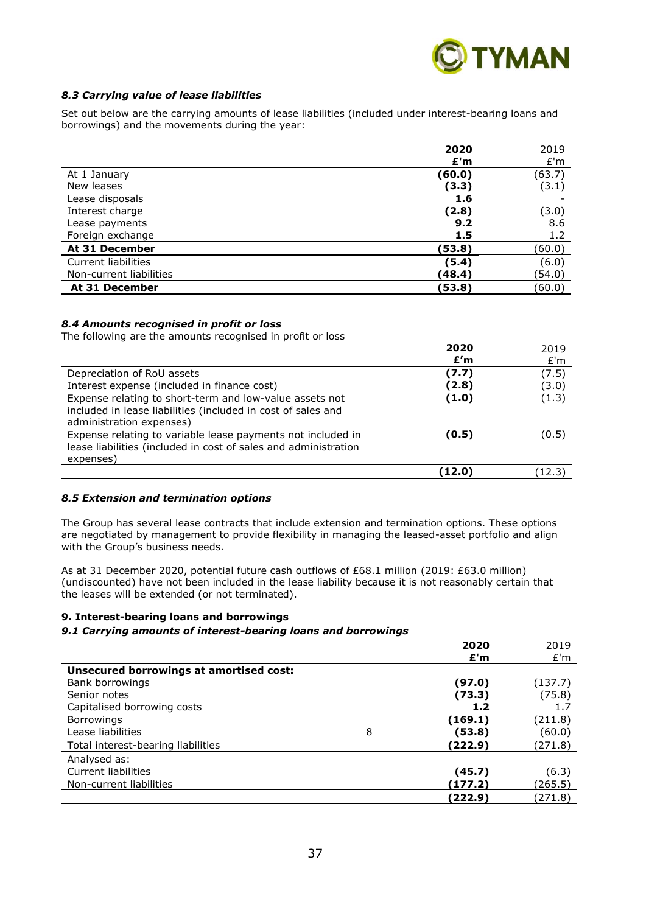

#### *8.3 Carrying value of lease liabilities*

Set out below are the carrying amounts of lease liabilities (included under interest-bearing loans and borrowings) and the movements during the year:

|                         | 2020   | 2019   |
|-------------------------|--------|--------|
|                         | E'm    | E'm    |
| At 1 January            | (60.0) | (63.7) |
| New leases              | (3.3)  | (3.1)  |
| Lease disposals         | 1.6    |        |
| Interest charge         | (2.8)  | (3.0)  |
| Lease payments          | 9.2    | 8.6    |
| Foreign exchange        | 1.5    | 1.2    |
| At 31 December          | (53.8) | (60.0) |
| Current liabilities     | (5.4)  | (6.0)  |
| Non-current liabilities | (48.4) | (54.0) |
| At 31 December          | (53.8) | (60.0) |

#### *8.4 Amounts recognised in profit or loss*

The following are the amounts recognised in profit or loss

|                                                                                                                                                     | 2020   | 2019   |
|-----------------------------------------------------------------------------------------------------------------------------------------------------|--------|--------|
|                                                                                                                                                     | E'm    | E'm    |
| Depreciation of RoU assets                                                                                                                          | (7.7)  | (7.5)  |
| Interest expense (included in finance cost)                                                                                                         | (2.8)  | (3.0)  |
| Expense relating to short-term and low-value assets not<br>included in lease liabilities (included in cost of sales and<br>administration expenses) | (1.0)  | (1.3)  |
| Expense relating to variable lease payments not included in<br>lease liabilities (included in cost of sales and administration<br>expenses)         | (0.5)  | (0.5)  |
|                                                                                                                                                     | (12.0) | (12.3) |

#### *8.5 Extension and termination options*

The Group has several lease contracts that include extension and termination options. These options are negotiated by management to provide flexibility in managing the leased-asset portfolio and align with the Group's business needs.

As at 31 December 2020, potential future cash outflows of £68.1 million (2019: £63.0 million) (undiscounted) have not been included in the lease liability because it is not reasonably certain that the leases will be extended (or not terminated).

#### **9. Interest-bearing loans and borrowings**

#### *9.1 Carrying amounts of interest-bearing loans and borrowings*

|                                         |   | 2020    | 2019    |
|-----------------------------------------|---|---------|---------|
| Unsecured borrowings at amortised cost: |   | E'm     | E'm     |
| Bank borrowings                         |   | (97.0)  | (137.7) |
| Senior notes                            |   | (73.3)  | (75.8)  |
| Capitalised borrowing costs             |   | 1.2     | 1.7     |
| <b>Borrowings</b>                       |   | (169.1) | (211.8) |
| Lease liabilities                       | 8 | (53.8)  | (60.0)  |
| Total interest-bearing liabilities      |   | (222.9) | (271.8) |
| Analysed as:                            |   |         |         |
| <b>Current liabilities</b>              |   | (45.7)  | (6.3)   |
| Non-current liabilities                 |   | (177.2) | (265.5) |
|                                         |   | (222.9) | (271.8) |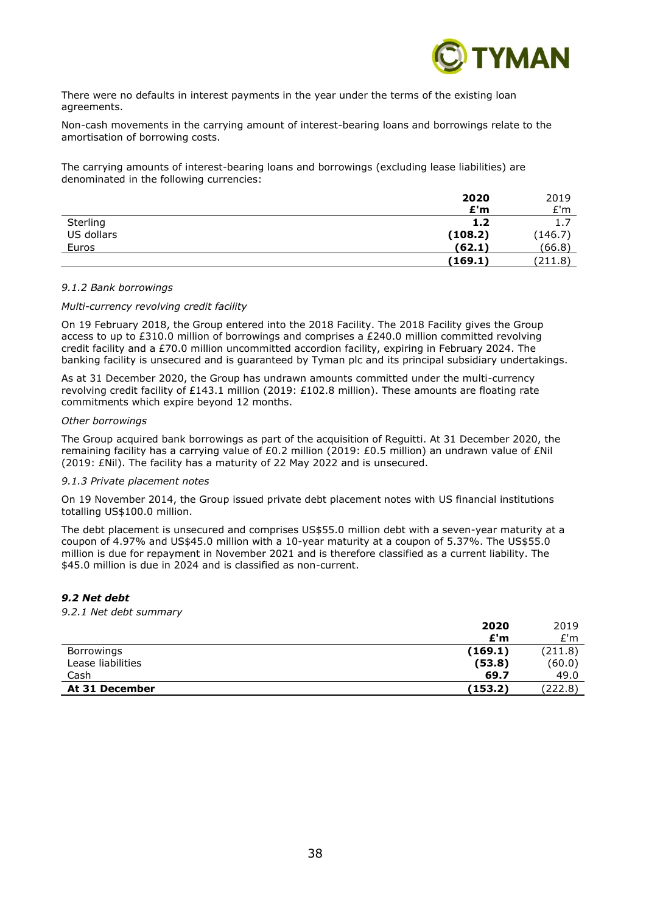

There were no defaults in interest payments in the year under the terms of the existing loan agreements.

Non-cash movements in the carrying amount of interest-bearing loans and borrowings relate to the amortisation of borrowing costs.

The carrying amounts of interest-bearing loans and borrowings (excluding lease liabilities) are denominated in the following currencies:

|            | 2020    | 2019    |
|------------|---------|---------|
|            | £'m     | E'm     |
| Sterling   | 1.2     | 1.7     |
| US dollars | (108.2) | (146.7) |
| Euros      | (62.1)  | (66.8)  |
|            | (169.1) | (211.8) |

#### *9.1.2 Bank borrowings*

#### *Multi-currency revolving credit facility*

On 19 February 2018, the Group entered into the 2018 Facility. The 2018 Facility gives the Group access to up to £310.0 million of borrowings and comprises a £240.0 million committed revolving credit facility and a £70.0 million uncommitted accordion facility, expiring in February 2024. The banking facility is unsecured and is guaranteed by Tyman plc and its principal subsidiary undertakings.

As at 31 December 2020, the Group has undrawn amounts committed under the multi-currency revolving credit facility of £143.1 million (2019: £102.8 million). These amounts are floating rate commitments which expire beyond 12 months.

#### *Other borrowings*

The Group acquired bank borrowings as part of the acquisition of Reguitti. At 31 December 2020, the remaining facility has a carrying value of £0.2 million (2019: £0.5 million) an undrawn value of £Nil (2019: £Nil). The facility has a maturity of 22 May 2022 and is unsecured.

#### *9.1.3 Private placement notes*

On 19 November 2014, the Group issued private debt placement notes with US financial institutions totalling US\$100.0 million.

The debt placement is unsecured and comprises US\$55.0 million debt with a seven-year maturity at a coupon of 4.97% and US\$45.0 million with a 10-year maturity at a coupon of 5.37%. The US\$55.0 million is due for repayment in November 2021 and is therefore classified as a current liability. The \$45.0 million is due in 2024 and is classified as non-current.

#### *9.2 Net debt*

*9.2.1 Net debt summary*

|                   | 2020    | 2019    |
|-------------------|---------|---------|
|                   | E'm     | E'm     |
| Borrowings        | (169.1) | (211.8) |
| Lease liabilities | (53.8)  | (60.0)  |
| Cash              | 69.7    | 49.0    |
| At 31 December    | (153.2) | (222.8) |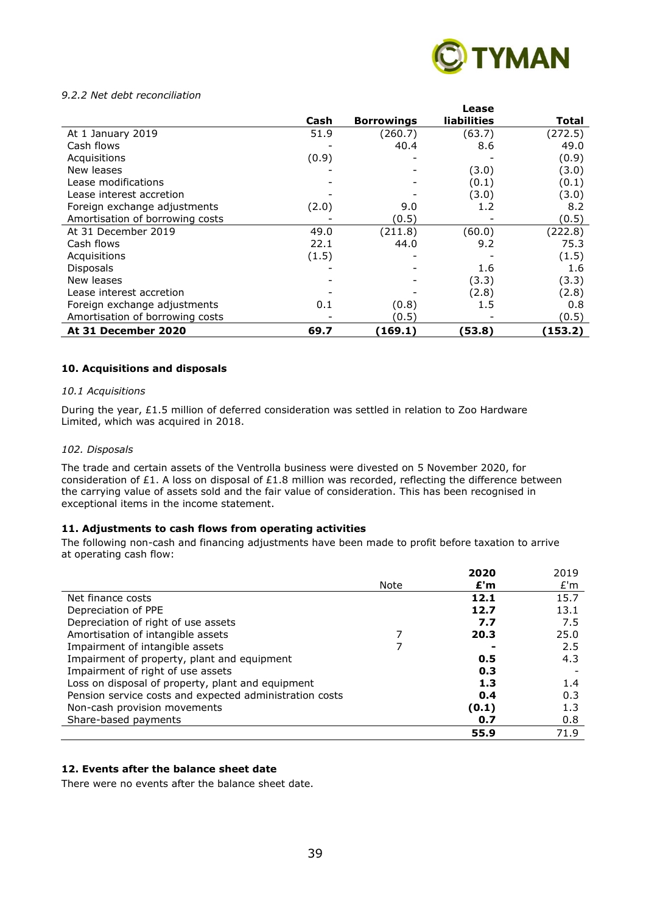

#### *9.2.2 Net debt reconciliation*

|                                 |       |                   | Lease       |         |
|---------------------------------|-------|-------------------|-------------|---------|
|                                 | Cash  | <b>Borrowings</b> | liabilities | Total   |
| At 1 January 2019               | 51.9  | (260.7)           | (63.7)      | (272.5) |
| Cash flows                      |       | 40.4              | 8.6         | 49.0    |
| Acquisitions                    | (0.9) |                   |             | (0.9)   |
| New leases                      |       |                   | (3.0)       | (3.0)   |
| Lease modifications             |       |                   | (0.1)       | (0.1)   |
| Lease interest accretion        |       |                   | (3.0)       | (3.0)   |
| Foreign exchange adjustments    | (2.0) | 9.0               | 1.2         | 8.2     |
| Amortisation of borrowing costs |       | (0.5)             |             | (0.5)   |
| At 31 December 2019             | 49.0  | (211.8)           | (60.0)      | (222.8) |
| Cash flows                      | 22.1  | 44.0              | 9.2         | 75.3    |
| Acquisitions                    | (1.5) |                   |             | (1.5)   |
| <b>Disposals</b>                |       |                   | 1.6         | 1.6     |
| New leases                      |       |                   | (3.3)       | (3.3)   |
| Lease interest accretion        |       |                   | (2.8)       | (2.8)   |
| Foreign exchange adjustments    | 0.1   | (0.8)             | 1.5         | 0.8     |
| Amortisation of borrowing costs |       | (0.5)             |             | (0.5)   |
| At 31 December 2020             | 69.7  | (169.1)           | (53.8)      | (153.2) |

#### **10. Acquisitions and disposals**

#### *10.1 Acquisitions*

During the year, £1.5 million of deferred consideration was settled in relation to Zoo Hardware Limited, which was acquired in 2018.

#### *102. Disposals*

The trade and certain assets of the Ventrolla business were divested on 5 November 2020, for consideration of £1. A loss on disposal of £1.8 million was recorded, reflecting the difference between the carrying value of assets sold and the fair value of consideration. This has been recognised in exceptional items in the income statement.

#### **11. Adjustments to cash flows from operating activities**

The following non-cash and financing adjustments have been made to profit before taxation to arrive at operating cash flow:

|                                                         |      | 2020  | 2019 |
|---------------------------------------------------------|------|-------|------|
|                                                         | Note | £'m   | E'm  |
| Net finance costs                                       |      | 12.1  | 15.7 |
| Depreciation of PPE                                     |      | 12.7  | 13.1 |
| Depreciation of right of use assets                     |      | 7.7   | 7.5  |
| Amortisation of intangible assets                       |      | 20.3  | 25.0 |
| Impairment of intangible assets                         |      |       | 2.5  |
| Impairment of property, plant and equipment             |      | 0.5   | 4.3  |
| Impairment of right of use assets                       |      | 0.3   |      |
| Loss on disposal of property, plant and equipment       |      | 1.3   | 1.4  |
| Pension service costs and expected administration costs |      | 0.4   | 0.3  |
| Non-cash provision movements                            |      | (0.1) | 1.3  |
| Share-based payments                                    |      | 0.7   | 0.8  |
|                                                         |      | 55.9  | 71.9 |

#### **12. Events after the balance sheet date**

There were no events after the balance sheet date.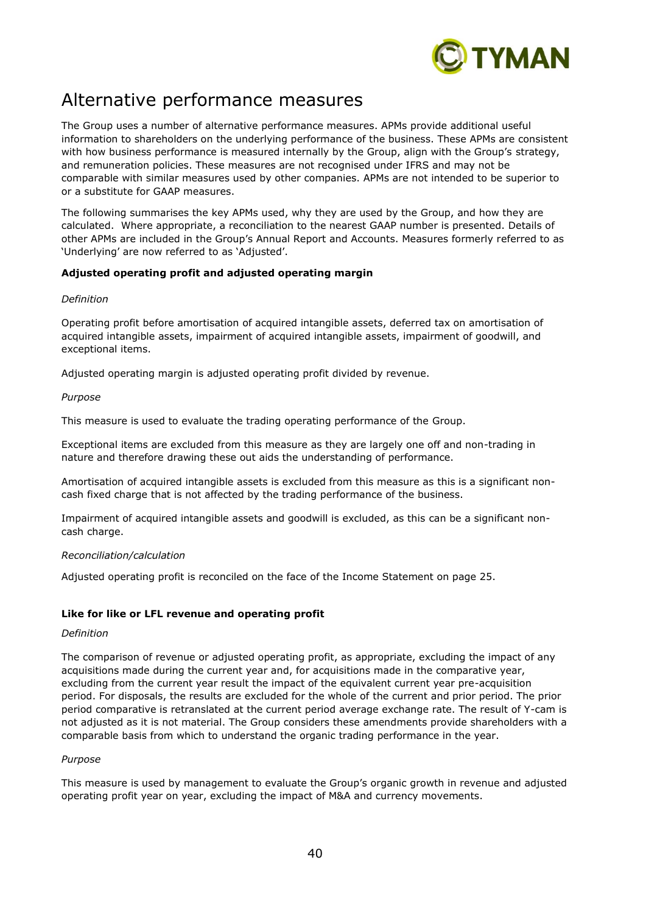

# Alternative performance measures

The Group uses a number of alternative performance measures. APMs provide additional useful information to shareholders on the underlying performance of the business. These APMs are consistent with how business performance is measured internally by the Group, align with the Group's strategy, and remuneration policies. These measures are not recognised under IFRS and may not be comparable with similar measures used by other companies. APMs are not intended to be superior to or a substitute for GAAP measures.

The following summarises the key APMs used, why they are used by the Group, and how they are calculated. Where appropriate, a reconciliation to the nearest GAAP number is presented. Details of other APMs are included in the Group's Annual Report and Accounts. Measures formerly referred to as 'Underlying' are now referred to as 'Adjusted'.

#### **Adjusted operating profit and adjusted operating margin**

#### *Definition*

Operating profit before amortisation of acquired intangible assets, deferred tax on amortisation of acquired intangible assets, impairment of acquired intangible assets, impairment of goodwill, and exceptional items.

Adjusted operating margin is adjusted operating profit divided by revenue.

#### *Purpose*

This measure is used to evaluate the trading operating performance of the Group.

Exceptional items are excluded from this measure as they are largely one off and non-trading in nature and therefore drawing these out aids the understanding of performance.

Amortisation of acquired intangible assets is excluded from this measure as this is a significant noncash fixed charge that is not affected by the trading performance of the business.

Impairment of acquired intangible assets and goodwill is excluded, as this can be a significant noncash charge.

#### *Reconciliation/calculation*

Adjusted operating profit is reconciled on the face of the Income Statement on page 25.

## **Like for like or LFL revenue and operating profit**

#### *Definition*

The comparison of revenue or adjusted operating profit, as appropriate, excluding the impact of any acquisitions made during the current year and, for acquisitions made in the comparative year, excluding from the current year result the impact of the equivalent current year pre-acquisition period. For disposals, the results are excluded for the whole of the current and prior period. The prior period comparative is retranslated at the current period average exchange rate. The result of Y-cam is not adjusted as it is not material. The Group considers these amendments provide shareholders with a comparable basis from which to understand the organic trading performance in the year.

#### *Purpose*

This measure is used by management to evaluate the Group's organic growth in revenue and adjusted operating profit year on year, excluding the impact of M&A and currency movements.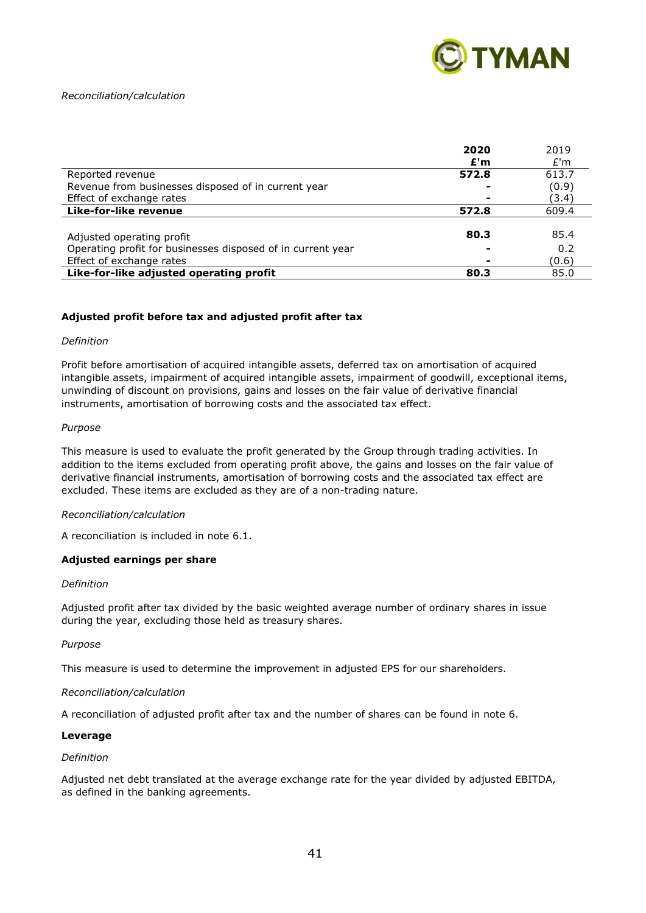

#### *Reconciliation/calculation*

|                                                             | 2020  | 2019  |
|-------------------------------------------------------------|-------|-------|
|                                                             | £'m   | E'm   |
| Reported revenue                                            | 572.8 | 613.7 |
| Revenue from businesses disposed of in current year         |       | (0.9) |
| Effect of exchange rates                                    |       | (3.4) |
| Like-for-like revenue                                       | 572.8 | 609.4 |
|                                                             |       |       |
| Adjusted operating profit                                   | 80.3  | 85.4  |
| Operating profit for businesses disposed of in current year |       | 0.2   |
| Effect of exchange rates                                    |       | (0.6) |
| Like-for-like adjusted operating profit                     | 80.3  | 85.0  |

#### **Adjusted profit before tax and adjusted profit after tax**

#### *Definition*

Profit before amortisation of acquired intangible assets, deferred tax on amortisation of acquired intangible assets, impairment of acquired intangible assets, impairment of goodwill, exceptional items, unwinding of discount on provisions, gains and losses on the fair value of derivative financial instruments, amortisation of borrowing costs and the associated tax effect.

#### *Purpose*

This measure is used to evaluate the profit generated by the Group through trading activities. In addition to the items excluded from operating profit above, the gains and losses on the fair value of derivative financial instruments, amortisation of borrowing costs and the associated tax effect are excluded. These items are excluded as they are of a non-trading nature.

#### *Reconciliation/calculation*

A reconciliation is included in note 6.1.

#### **Adjusted earnings per share**

#### *Definition*

Adjusted profit after tax divided by the basic weighted average number of ordinary shares in issue during the year, excluding those held as treasury shares.

#### *Purpose*

This measure is used to determine the improvement in adjusted EPS for our shareholders.

#### *Reconciliation/calculation*

A reconciliation of adjusted profit after tax and the number of shares can be found in note 6.

#### **Leverage**

#### *Definition*

Adjusted net debt translated at the average exchange rate for the year divided by adjusted EBITDA, as defined in the banking agreements.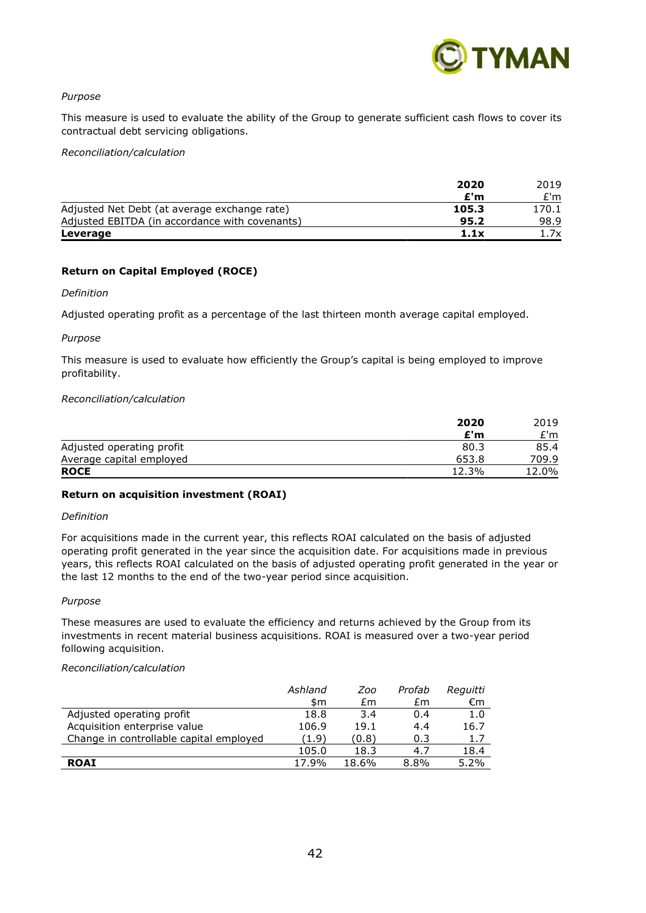

#### *Purpose*

This measure is used to evaluate the ability of the Group to generate sufficient cash flows to cover its contractual debt servicing obligations.

*Reconciliation/calculation*

|                                                | 2020  | 2019  |
|------------------------------------------------|-------|-------|
|                                                | £'m   | £'m   |
| Adjusted Net Debt (at average exchange rate)   | 105.3 | 170.1 |
| Adjusted EBITDA (in accordance with covenants) | 95.2  | 98.9  |
| Leverage                                       | 1.1x  | 1.7x  |

#### **Return on Capital Employed (ROCE)**

#### *Definition*

Adjusted operating profit as a percentage of the last thirteen month average capital employed.

#### *Purpose*

This measure is used to evaluate how efficiently the Group's capital is being employed to improve profitability.

#### *Reconciliation/calculation*

|                           | 2020  | 2019  |
|---------------------------|-------|-------|
|                           | £'m   | £'m   |
| Adjusted operating profit | 80.3  | 85.4  |
| Average capital employed  | 653.8 | 709.9 |
| <b>ROCE</b>               | 12.3% | 12.0% |

#### **Return on acquisition investment (ROAI)**

#### *Definition*

For acquisitions made in the current year, this reflects ROAI calculated on the basis of adjusted operating profit generated in the year since the acquisition date. For acquisitions made in previous years, this reflects ROAI calculated on the basis of adjusted operating profit generated in the year or the last 12 months to the end of the two-year period since acquisition.

#### *Purpose*

These measures are used to evaluate the efficiency and returns achieved by the Group from its investments in recent material business acquisitions. ROAI is measured over a two-year period following acquisition.

#### *Reconciliation/calculation*

|                                         | Ashland | Zoo   | Profab | Reguitti |
|-----------------------------------------|---------|-------|--------|----------|
|                                         | \$m     | £m    | £m     | €m       |
| Adjusted operating profit               | 18.8    | 3.4   | 0.4    | 1.0      |
| Acquisition enterprise value            | 106.9   | 19.1  | 4.4    | 16.7     |
| Change in controllable capital employed | (1.9)   | (0.8) | 0.3    | 1.7      |
|                                         | 105.0   | 18.3  | 4.7    | 18.4     |
| <b>ROAI</b>                             | 17.9%   | 18.6% | 8.8%   | $5.2\%$  |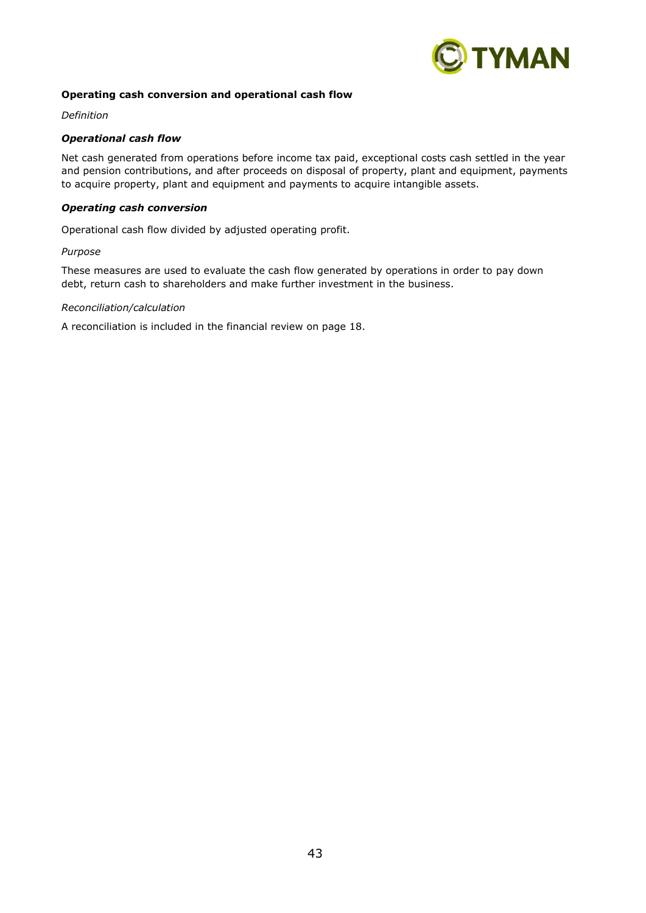

#### **Operating cash conversion and operational cash flow**

*Definition*

#### *Operational cash flow*

Net cash generated from operations before income tax paid, exceptional costs cash settled in the year and pension contributions, and after proceeds on disposal of property, plant and equipment, payments to acquire property, plant and equipment and payments to acquire intangible assets.

### *Operating cash conversion*

Operational cash flow divided by adjusted operating profit.

#### *Purpose*

These measures are used to evaluate the cash flow generated by operations in order to pay down debt, return cash to shareholders and make further investment in the business.

#### *Reconciliation/calculation*

A reconciliation is included in the financial review on page 18.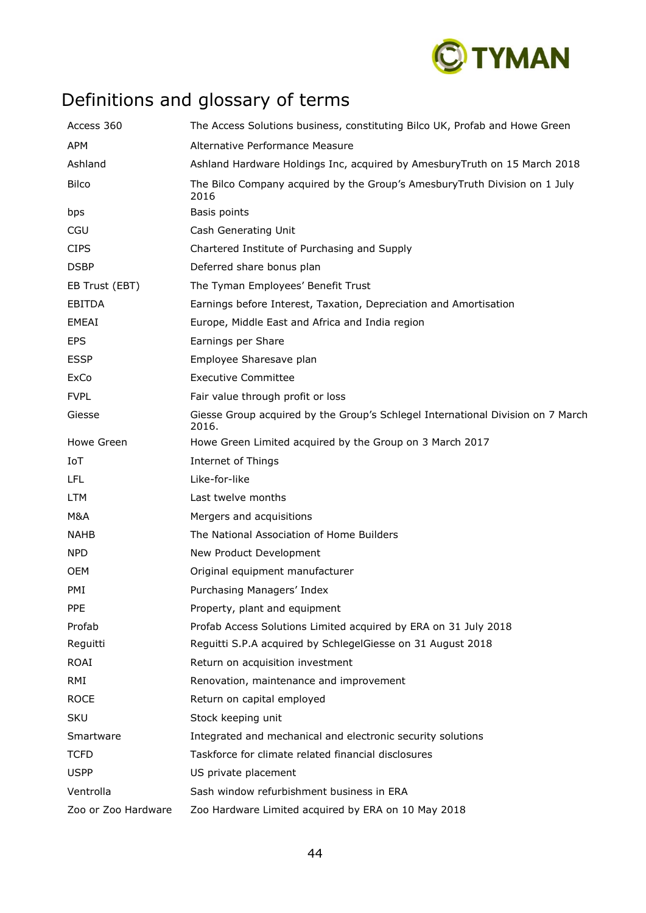

# Definitions and glossary of terms

| Access 360          | The Access Solutions business, constituting Bilco UK, Profab and Howe Green              |
|---------------------|------------------------------------------------------------------------------------------|
| <b>APM</b>          | Alternative Performance Measure                                                          |
| Ashland             | Ashland Hardware Holdings Inc, acquired by AmesburyTruth on 15 March 2018                |
| <b>Bilco</b>        | The Bilco Company acquired by the Group's Amesbury Truth Division on 1 July<br>2016      |
| bps                 | Basis points                                                                             |
| CGU                 | Cash Generating Unit                                                                     |
| <b>CIPS</b>         | Chartered Institute of Purchasing and Supply                                             |
| <b>DSBP</b>         | Deferred share bonus plan                                                                |
| EB Trust (EBT)      | The Tyman Employees' Benefit Trust                                                       |
| <b>EBITDA</b>       | Earnings before Interest, Taxation, Depreciation and Amortisation                        |
| EMEAI               | Europe, Middle East and Africa and India region                                          |
| <b>EPS</b>          | Earnings per Share                                                                       |
| <b>ESSP</b>         | Employee Sharesave plan                                                                  |
| ExCo                | <b>Executive Committee</b>                                                               |
| <b>FVPL</b>         | Fair value through profit or loss                                                        |
| Giesse              | Giesse Group acquired by the Group's Schlegel International Division on 7 March<br>2016. |
| Howe Green          | Howe Green Limited acquired by the Group on 3 March 2017                                 |
| IoT                 | <b>Internet of Things</b>                                                                |
| <b>LFL</b>          | Like-for-like                                                                            |
| <b>LTM</b>          | Last twelve months                                                                       |
| M&A                 | Mergers and acquisitions                                                                 |
| <b>NAHB</b>         | The National Association of Home Builders                                                |
| <b>NPD</b>          | New Product Development                                                                  |
| <b>OEM</b>          | Original equipment manufacturer                                                          |
| PMI                 | Purchasing Managers' Index                                                               |
| <b>PPE</b>          | Property, plant and equipment                                                            |
| Profab              | Profab Access Solutions Limited acquired by ERA on 31 July 2018                          |
| Reguitti            | Reguitti S.P.A acquired by SchlegelGiesse on 31 August 2018                              |
| ROAI                | Return on acquisition investment                                                         |
| RMI                 | Renovation, maintenance and improvement                                                  |
| <b>ROCE</b>         | Return on capital employed                                                               |
| <b>SKU</b>          | Stock keeping unit                                                                       |
| Smartware           | Integrated and mechanical and electronic security solutions                              |
| <b>TCFD</b>         | Taskforce for climate related financial disclosures                                      |
| <b>USPP</b>         | US private placement                                                                     |
| Ventrolla           | Sash window refurbishment business in ERA                                                |
| Zoo or Zoo Hardware | Zoo Hardware Limited acquired by ERA on 10 May 2018                                      |